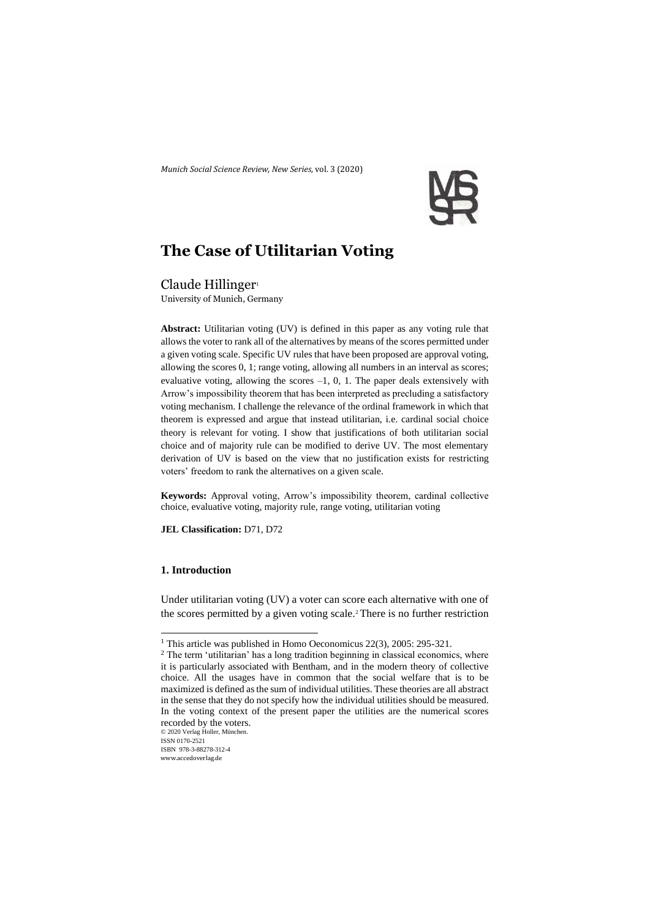*Munich Social Science Review*, *New Series,* vol. 3 (2020)



# **The Case of Utilitarian Voting**

Claude Hillinger<sup>1</sup>

University of Munich, Germany

**Abstract:** Utilitarian voting (UV) is defined in this paper as any voting rule that allows the voter to rank all of the alternatives by means of the scores permitted under a given voting scale. Specific UV rules that have been proposed are approval voting, allowing the scores 0, 1; range voting, allowing all numbers in an interval as scores; evaluative voting, allowing the scores –1, 0, 1. The paper deals extensively with Arrow's impossibility theorem that has been interpreted as precluding a satisfactory voting mechanism. I challenge the relevance of the ordinal framework in which that theorem is expressed and argue that instead utilitarian, i.e. cardinal social choice theory is relevant for voting. I show that justifications of both utilitarian social choice and of majority rule can be modified to derive UV. The most elementary derivation of UV is based on the view that no justification exists for restricting voters' freedom to rank the alternatives on a given scale.

**Keywords:** Approval voting, Arrow's impossibility theorem, cardinal collective choice, evaluative voting, majority rule, range voting, utilitarian voting

**JEL Classification:** D71, D72

# **1. Introduction**

Under utilitarian voting (UV) a voter can score each alternative with one of the scores permitted by a given voting scale.<sup>2</sup> There is no further restriction

<sup>&</sup>lt;sup>1</sup> This article was published in Homo Oeconomicus 22(3), 2005: 295-321.

<sup>&</sup>lt;sup>2</sup> The term 'utilitarian' has a long tradition beginning in classical economics, where it is particularly associated with Bentham, and in the modern theory of collective choice. All the usages have in common that the social welfare that is to be maximized is defined as the sum of individual utilities. These theories are all abstract in the sense that they do not specify how the individual utilities should be measured. In the voting context of the present paper the utilities are the numerical scores recorded by the voters.

<sup>© 2020</sup> Verlag Holler, München. ISSN 0170-2521

ISBN 978-3-88278-312-4

www.accedoverlag.de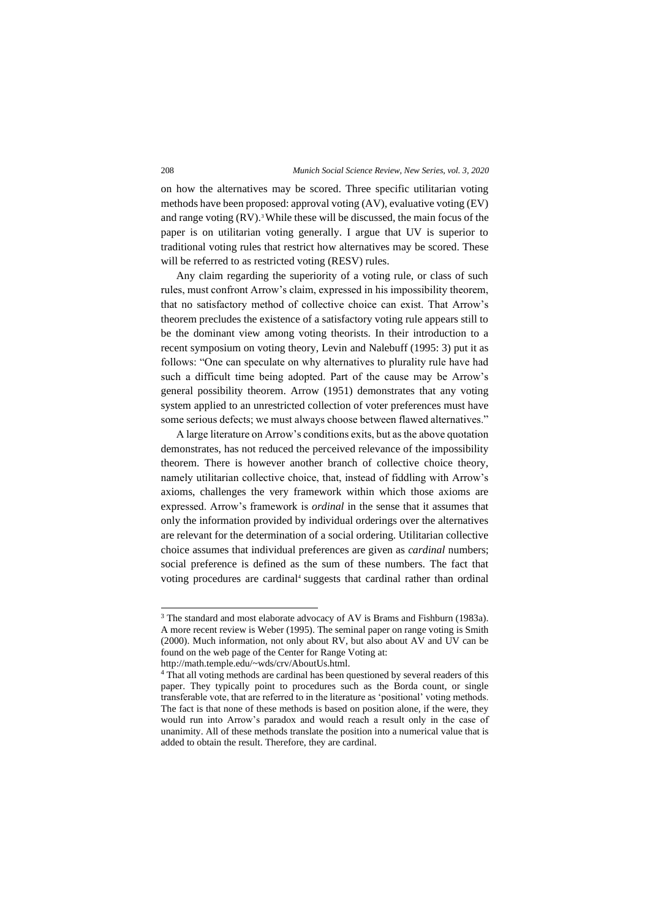on how the alternatives may be scored. Three specific utilitarian voting methods have been proposed: approval voting (AV), evaluative voting (EV) and range voting  $(RV)$ .<sup>3</sup> While these will be discussed, the main focus of the paper is on utilitarian voting generally. I argue that UV is superior to traditional voting rules that restrict how alternatives may be scored. These will be referred to as restricted voting (RESV) rules.

Any claim regarding the superiority of a voting rule, or class of such rules, must confront Arrow's claim, expressed in his impossibility theorem, that no satisfactory method of collective choice can exist. That Arrow's theorem precludes the existence of a satisfactory voting rule appears still to be the dominant view among voting theorists. In their introduction to a recent symposium on voting theory, Levin and Nalebuff (1995: 3) put it as follows: "One can speculate on why alternatives to plurality rule have had such a difficult time being adopted. Part of the cause may be Arrow's general possibility theorem. Arrow (1951) demonstrates that any voting system applied to an unrestricted collection of voter preferences must have some serious defects; we must always choose between flawed alternatives."

A large literature on Arrow's conditions exits, but as the above quotation demonstrates, has not reduced the perceived relevance of the impossibility theorem. There is however another branch of collective choice theory, namely utilitarian collective choice, that, instead of fiddling with Arrow's axioms, challenges the very framework within which those axioms are expressed. Arrow's framework is *ordinal* in the sense that it assumes that only the information provided by individual orderings over the alternatives are relevant for the determination of a social ordering. Utilitarian collective choice assumes that individual preferences are given as *cardinal* numbers; social preference is defined as the sum of these numbers. The fact that voting procedures are cardinal<sup>4</sup> suggests that cardinal rather than ordinal

<sup>&</sup>lt;sup>3</sup> The standard and most elaborate advocacy of AV is Brams and Fishburn (1983a). A more recent review is Weber (1995). The seminal paper on range voting is Smith (2000). Much information, not only about RV, but also about AV and UV can be found on the web page of the Center for Range Voting at:

http://math.temple.edu/~wds/crv/AboutUs.html.

<sup>4</sup> That all voting methods are cardinal has been questioned by several readers of this paper. They typically point to procedures such as the Borda count, or single transferable vote, that are referred to in the literature as 'positional' voting methods. The fact is that none of these methods is based on position alone, if the were, they would run into Arrow's paradox and would reach a result only in the case of unanimity. All of these methods translate the position into a numerical value that is added to obtain the result. Therefore, they are cardinal.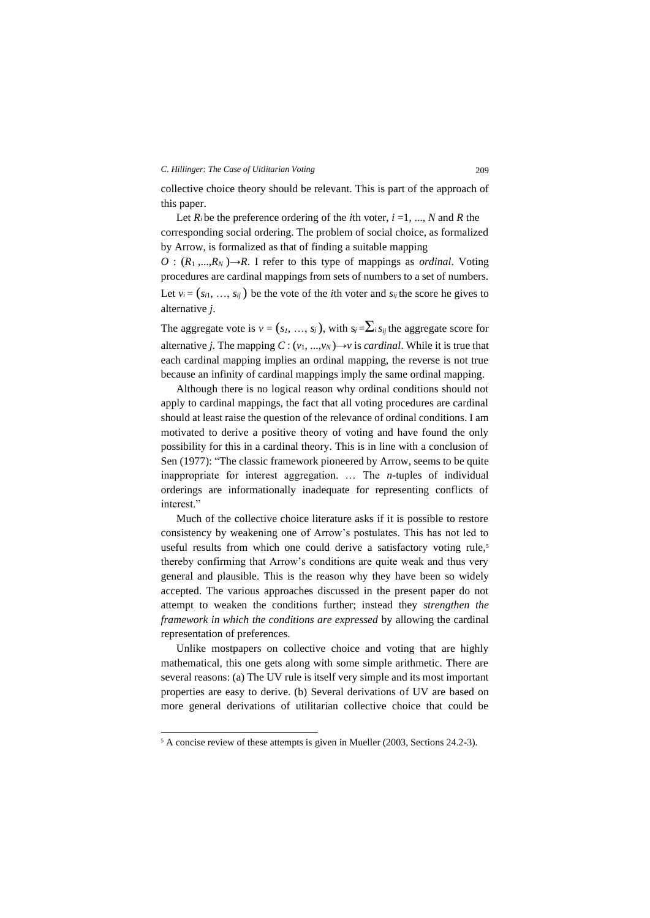collective choice theory should be relevant. This is part of the approach of this paper.

Let  $R_i$  be the preference ordering of the *i*th voter,  $i = 1, ..., N$  and  $R$  the corresponding social ordering. The problem of social choice, as formalized by Arrow, is formalized as that of finding a suitable mapping

 $O: (R_1, \ldots, R_N) \rightarrow R$ . I refer to this type of mappings as *ordinal*. Voting procedures are cardinal mappings from sets of numbers to a set of numbers. Let  $v_i = (s_{i1}, \ldots, s_{ii})$  be the vote of the *i*th voter and  $s_{ii}$  the score he gives to alternative *j*.

The aggregate vote is  $v = (s_1, \ldots, s_j)$ , with  $s_j = \sum_i s_{ij}$  the aggregate score for alternative *j*. The mapping  $C$  :  $(v_1, ..., v_N) \rightarrow v$  is *cardinal*. While it is true that each cardinal mapping implies an ordinal mapping, the reverse is not true because an infinity of cardinal mappings imply the same ordinal mapping.

Although there is no logical reason why ordinal conditions should not apply to cardinal mappings, the fact that all voting procedures are cardinal should at least raise the question of the relevance of ordinal conditions. I am motivated to derive a positive theory of voting and have found the only possibility for this in a cardinal theory. This is in line with a conclusion of Sen (1977): "The classic framework pioneered by Arrow, seems to be quite inappropriate for interest aggregation. … The *n*-tuples of individual orderings are informationally inadequate for representing conflicts of interest."

Much of the collective choice literature asks if it is possible to restore consistency by weakening one of Arrow's postulates. This has not led to useful results from which one could derive a satisfactory voting rule,<sup>5</sup> thereby confirming that Arrow's conditions are quite weak and thus very general and plausible. This is the reason why they have been so widely accepted. The various approaches discussed in the present paper do not attempt to weaken the conditions further; instead they *strengthen the framework in which the conditions are expressed* by allowing the cardinal representation of preferences.

Unlike mostpapers on collective choice and voting that are highly mathematical, this one gets along with some simple arithmetic. There are several reasons: (a) The UV rule is itself very simple and its most important properties are easy to derive. (b) Several derivations of UV are based on more general derivations of utilitarian collective choice that could be

<sup>&</sup>lt;sup>5</sup> A concise review of these attempts is given in Mueller (2003, Sections 24.2-3).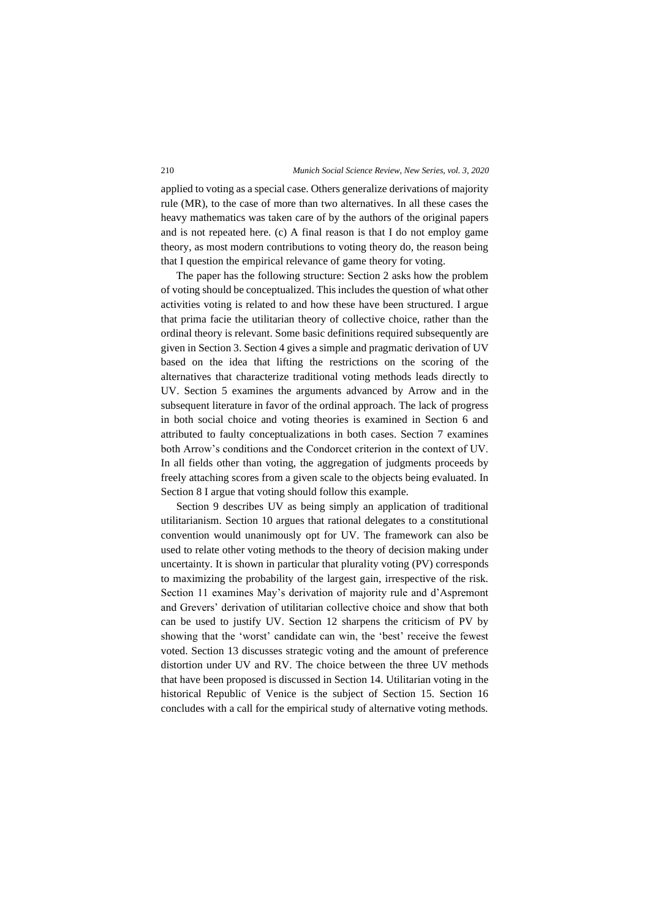#### 210 *Munich Social Science Review, New Series, vol. 3, 2020*

applied to voting as a special case. Others generalize derivations of majority rule (MR), to the case of more than two alternatives. In all these cases the heavy mathematics was taken care of by the authors of the original papers and is not repeated here. (c) A final reason is that I do not employ game theory, as most modern contributions to voting theory do, the reason being that I question the empirical relevance of game theory for voting.

The paper has the following structure: Section 2 asks how the problem of voting should be conceptualized. This includes the question of what other activities voting is related to and how these have been structured. I argue that prima facie the utilitarian theory of collective choice, rather than the ordinal theory is relevant. Some basic definitions required subsequently are given in Section 3. Section 4 gives a simple and pragmatic derivation of UV based on the idea that lifting the restrictions on the scoring of the alternatives that characterize traditional voting methods leads directly to UV. Section 5 examines the arguments advanced by Arrow and in the subsequent literature in favor of the ordinal approach. The lack of progress in both social choice and voting theories is examined in Section 6 and attributed to faulty conceptualizations in both cases. Section 7 examines both Arrow's conditions and the Condorcet criterion in the context of UV. In all fields other than voting, the aggregation of judgments proceeds by freely attaching scores from a given scale to the objects being evaluated. In Section 8 I argue that voting should follow this example.

Section 9 describes UV as being simply an application of traditional utilitarianism. Section 10 argues that rational delegates to a constitutional convention would unanimously opt for UV. The framework can also be used to relate other voting methods to the theory of decision making under uncertainty. It is shown in particular that plurality voting (PV) corresponds to maximizing the probability of the largest gain, irrespective of the risk. Section 11 examines May's derivation of majority rule and d'Aspremont and Grevers' derivation of utilitarian collective choice and show that both can be used to justify UV. Section 12 sharpens the criticism of PV by showing that the 'worst' candidate can win, the 'best' receive the fewest voted. Section 13 discusses strategic voting and the amount of preference distortion under UV and RV. The choice between the three UV methods that have been proposed is discussed in Section 14. Utilitarian voting in the historical Republic of Venice is the subject of Section 15. Section 16 concludes with a call for the empirical study of alternative voting methods.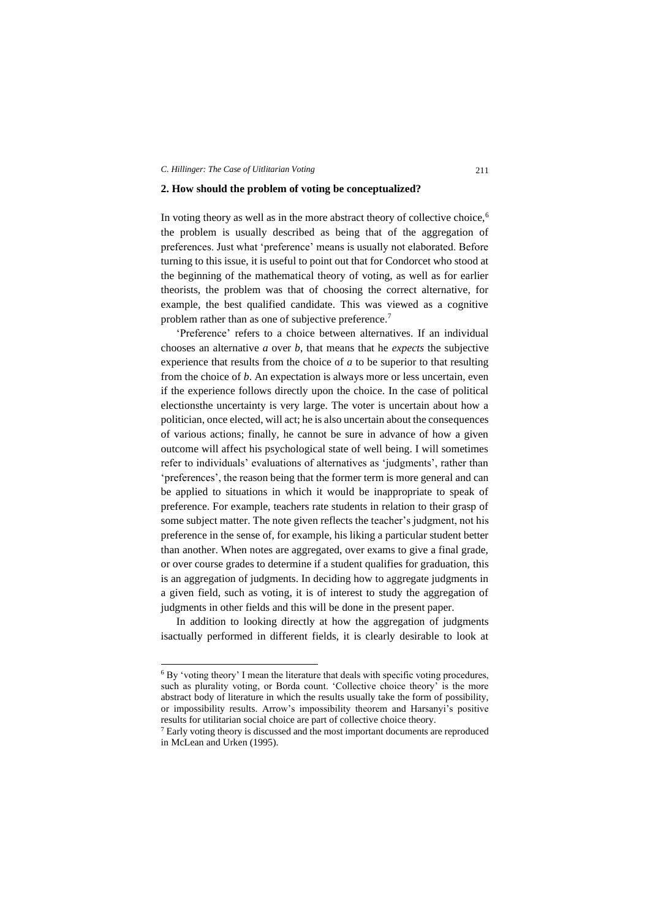## **2. How should the problem of voting be conceptualized?**

In voting theory as well as in the more abstract theory of collective choice,<sup>6</sup> the problem is usually described as being that of the aggregation of preferences. Just what 'preference' means is usually not elaborated. Before turning to this issue, it is useful to point out that for Condorcet who stood at the beginning of the mathematical theory of voting, as well as for earlier theorists, the problem was that of choosing the correct alternative, for example, the best qualified candidate. This was viewed as a cognitive problem rather than as one of subjective preference.<sup>7</sup>

'Preference' refers to a choice between alternatives. If an individual chooses an alternative *a* over *b*, that means that he *expects* the subjective experience that results from the choice of *a* to be superior to that resulting from the choice of *b*. An expectation is always more or less uncertain, even if the experience follows directly upon the choice. In the case of political electionsthe uncertainty is very large. The voter is uncertain about how a politician, once elected, will act; he is also uncertain about the consequences of various actions; finally, he cannot be sure in advance of how a given outcome will affect his psychological state of well being. I will sometimes refer to individuals' evaluations of alternatives as 'judgments', rather than 'preferences', the reason being that the former term is more general and can be applied to situations in which it would be inappropriate to speak of preference. For example, teachers rate students in relation to their grasp of some subject matter. The note given reflects the teacher's judgment, not his preference in the sense of, for example, his liking a particular student better than another. When notes are aggregated, over exams to give a final grade, or over course grades to determine if a student qualifies for graduation, this is an aggregation of judgments. In deciding how to aggregate judgments in a given field, such as voting, it is of interest to study the aggregation of judgments in other fields and this will be done in the present paper.

In addition to looking directly at how the aggregation of judgments isactually performed in different fields, it is clearly desirable to look at

<sup>6</sup> By 'voting theory' I mean the literature that deals with specific voting procedures, such as plurality voting, or Borda count. 'Collective choice theory' is the more abstract body of literature in which the results usually take the form of possibility, or impossibility results. Arrow's impossibility theorem and Harsanyi's positive results for utilitarian social choice are part of collective choice theory.

<sup>7</sup> Early voting theory is discussed and the most important documents are reproduced in McLean and Urken (1995).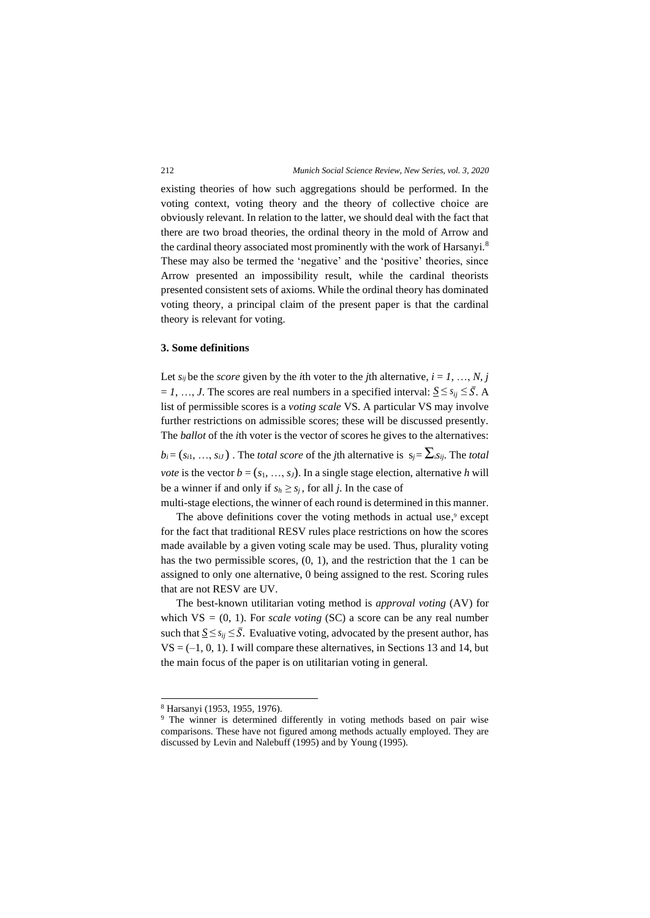existing theories of how such aggregations should be performed. In the voting context, voting theory and the theory of collective choice are obviously relevant. In relation to the latter, we should deal with the fact that there are two broad theories, the ordinal theory in the mold of Arrow and the cardinal theory associated most prominently with the work of Harsanyi.<sup>8</sup> These may also be termed the 'negative' and the 'positive' theories, since Arrow presented an impossibility result, while the cardinal theorists presented consistent sets of axioms. While the ordinal theory has dominated voting theory, a principal claim of the present paper is that the cardinal theory is relevant for voting.

# **3. Some definitions**

Let  $s_{ij}$  be the *score* given by the *i*th voter to the *j*th alternative,  $i = 1, ..., N$ , *j*  $= 1, \ldots, J$ . The scores are real numbers in a specified interval:  $S \leq s_{ij} \leq \bar{S}$ . A list of permissible scores is a *voting scale* VS. A particular VS may involve further restrictions on admissible scores; these will be discussed presently. The *ballot* of the *i*th voter is the vector of scores he gives to the alternatives:

 $b_i = (s_{i1}, \ldots, s_{iJ})$ . The *total score* of the *j*th alternative is  $s_i = \sum_{i} s_{ij}$ . The *total vote* is the vector  $b = (s_1, \ldots, s_J)$ . In a single stage election, alternative *h* will be a winner if and only if  $s_h \geq s_i$ , for all *j*. In the case of

multi-stage elections, the winner of each round is determined in this manner. The above definitions cover the voting methods in actual use,<sup>9</sup> except

for the fact that traditional RESV rules place restrictions on how the scores made available by a given voting scale may be used. Thus, plurality voting has the two permissible scores, (0, 1), and the restriction that the 1 can be assigned to only one alternative, 0 being assigned to the rest. Scoring rules that are not RESV are UV.

The best-known utilitarian voting method is *approval voting* (AV) for which  $VS = (0, 1)$ . For *scale voting* (SC) a score can be any real number such that  $S \leq s_{ij} \leq \overline{S}$ . Evaluative voting, advocated by the present author, has  $VS = (-1, 0, 1)$ . I will compare these alternatives, in Sections 13 and 14, but the main focus of the paper is on utilitarian voting in general.

<sup>8</sup> Harsanyi (1953, 1955, 1976).

<sup>&</sup>lt;sup>9</sup> The winner is determined differently in voting methods based on pair wise comparisons. These have not figured among methods actually employed. They are discussed by Levin and Nalebuff (1995) and by Young (1995).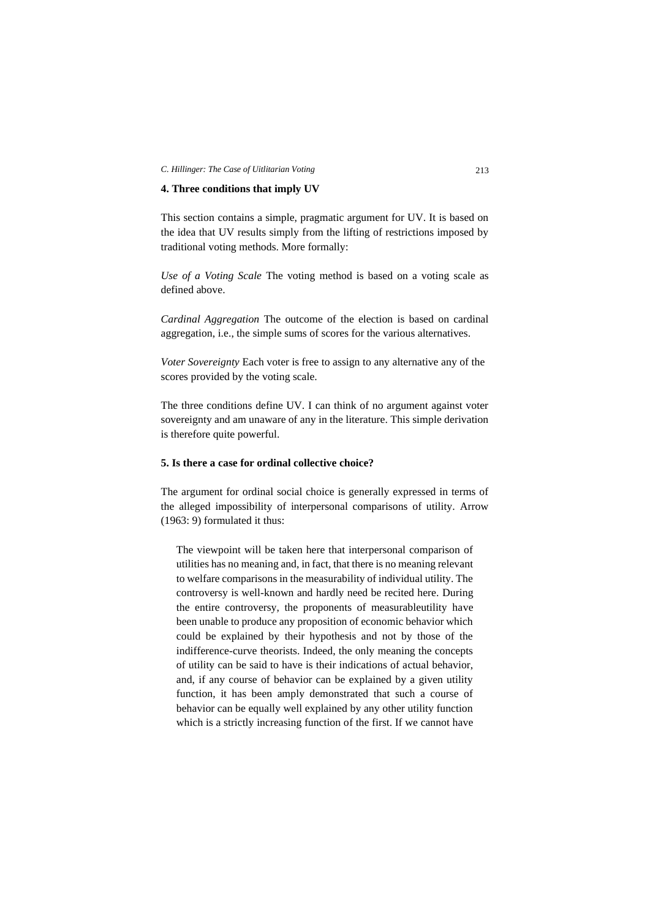# **4. Three conditions that imply UV**

This section contains a simple, pragmatic argument for UV. It is based on the idea that UV results simply from the lifting of restrictions imposed by traditional voting methods. More formally:

*Use of a Voting Scale* The voting method is based on a voting scale as defined above.

*Cardinal Aggregation* The outcome of the election is based on cardinal aggregation, i.e., the simple sums of scores for the various alternatives.

*Voter Sovereignty* Each voter is free to assign to any alternative any of the scores provided by the voting scale.

The three conditions define UV. I can think of no argument against voter sovereignty and am unaware of any in the literature. This simple derivation is therefore quite powerful.

# **5. Is there a case for ordinal collective choice?**

The argument for ordinal social choice is generally expressed in terms of the alleged impossibility of interpersonal comparisons of utility. Arrow (1963: 9) formulated it thus:

The viewpoint will be taken here that interpersonal comparison of utilities has no meaning and, in fact, that there is no meaning relevant to welfare comparisons in the measurability of individual utility. The controversy is well-known and hardly need be recited here. During the entire controversy, the proponents of measurableutility have been unable to produce any proposition of economic behavior which could be explained by their hypothesis and not by those of the indifference-curve theorists. Indeed, the only meaning the concepts of utility can be said to have is their indications of actual behavior, and, if any course of behavior can be explained by a given utility function, it has been amply demonstrated that such a course of behavior can be equally well explained by any other utility function which is a strictly increasing function of the first. If we cannot have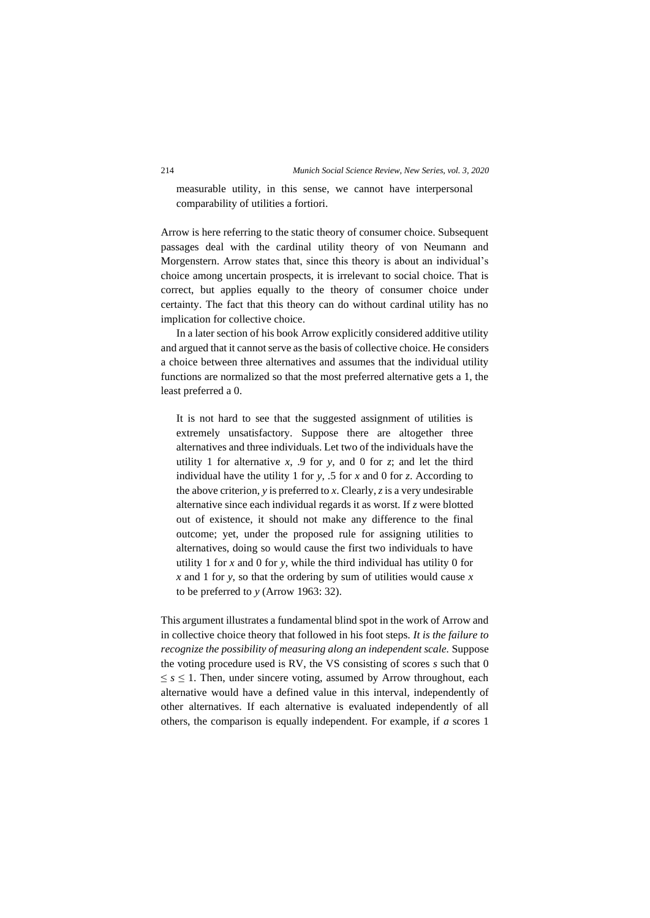measurable utility, in this sense, we cannot have interpersonal comparability of utilities a fortiori.

Arrow is here referring to the static theory of consumer choice. Subsequent passages deal with the cardinal utility theory of von Neumann and Morgenstern. Arrow states that, since this theory is about an individual's choice among uncertain prospects, it is irrelevant to social choice. That is correct, but applies equally to the theory of consumer choice under certainty. The fact that this theory can do without cardinal utility has no implication for collective choice.

In a later section of his book Arrow explicitly considered additive utility and argued that it cannot serve as the basis of collective choice. He considers a choice between three alternatives and assumes that the individual utility functions are normalized so that the most preferred alternative gets a 1, the least preferred a 0.

It is not hard to see that the suggested assignment of utilities is extremely unsatisfactory. Suppose there are altogether three alternatives and three individuals. Let two of the individuals have the utility 1 for alternative *x*, .9 for *y*, and 0 for *z*; and let the third individual have the utility 1 for *y*, .5 for *x* and 0 for *z*. According to the above criterion, *y* is preferred to *x*. Clearly, *z* is a very undesirable alternative since each individual regards it as worst. If *z* were blotted out of existence, it should not make any difference to the final outcome; yet, under the proposed rule for assigning utilities to alternatives, doing so would cause the first two individuals to have utility 1 for *x* and 0 for *y*, while the third individual has utility 0 for *x* and 1 for *y*, so that the ordering by sum of utilities would cause *x*  to be preferred to *y* (Arrow 1963: 32).

This argument illustrates a fundamental blind spot in the work of Arrow and in collective choice theory that followed in his foot steps. *It is the failure to recognize the possibility of measuring along an independent scale.* Suppose the voting procedure used is RV, the VS consisting of scores *s* such that 0  $\leq s \leq 1$ . Then, under sincere voting, assumed by Arrow throughout, each alternative would have a defined value in this interval, independently of other alternatives. If each alternative is evaluated independently of all others, the comparison is equally independent. For example, if *a* scores 1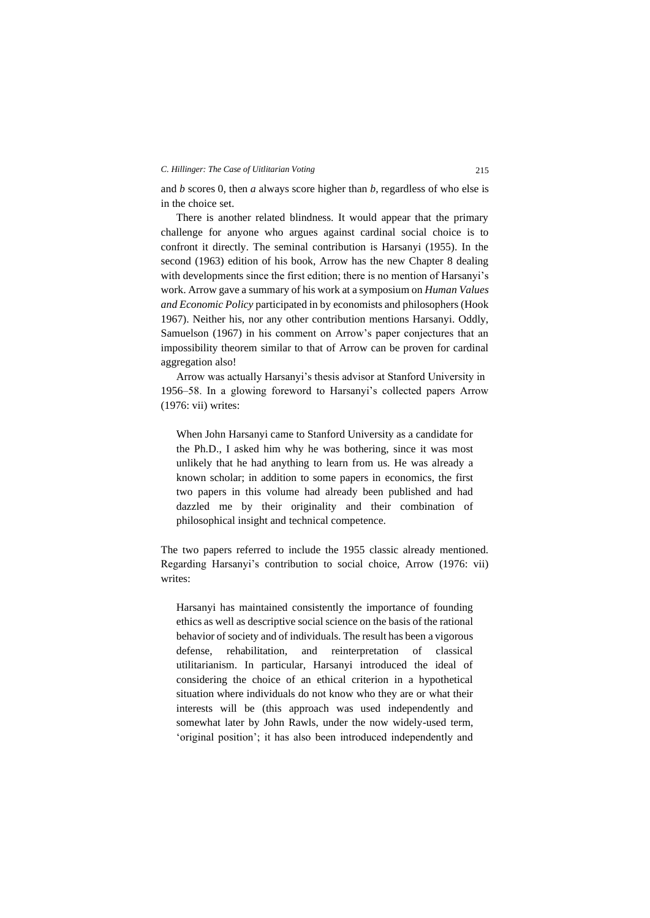and *b* scores 0, then *a* always score higher than *b*, regardless of who else is in the choice set.

There is another related blindness. It would appear that the primary challenge for anyone who argues against cardinal social choice is to confront it directly. The seminal contribution is Harsanyi (1955). In the second (1963) edition of his book, Arrow has the new Chapter 8 dealing with developments since the first edition; there is no mention of Harsanyi's work. Arrow gave a summary of his work at a symposium on *Human Values and Economic Policy* participated in by economists and philosophers (Hook 1967). Neither his, nor any other contribution mentions Harsanyi. Oddly, Samuelson (1967) in his comment on Arrow's paper conjectures that an impossibility theorem similar to that of Arrow can be proven for cardinal aggregation also!

Arrow was actually Harsanyi's thesis advisor at Stanford University in 1956–58. In a glowing foreword to Harsanyi's collected papers Arrow (1976: vii) writes:

When John Harsanyi came to Stanford University as a candidate for the Ph.D., I asked him why he was bothering, since it was most unlikely that he had anything to learn from us. He was already a known scholar; in addition to some papers in economics, the first two papers in this volume had already been published and had dazzled me by their originality and their combination of philosophical insight and technical competence.

The two papers referred to include the 1955 classic already mentioned. Regarding Harsanyi's contribution to social choice, Arrow (1976: vii) writes:

Harsanyi has maintained consistently the importance of founding ethics as well as descriptive social science on the basis of the rational behavior of society and of individuals. The result has been a vigorous defense, rehabilitation, and reinterpretation of classical utilitarianism. In particular, Harsanyi introduced the ideal of considering the choice of an ethical criterion in a hypothetical situation where individuals do not know who they are or what their interests will be (this approach was used independently and somewhat later by John Rawls, under the now widely-used term, 'original position'; it has also been introduced independently and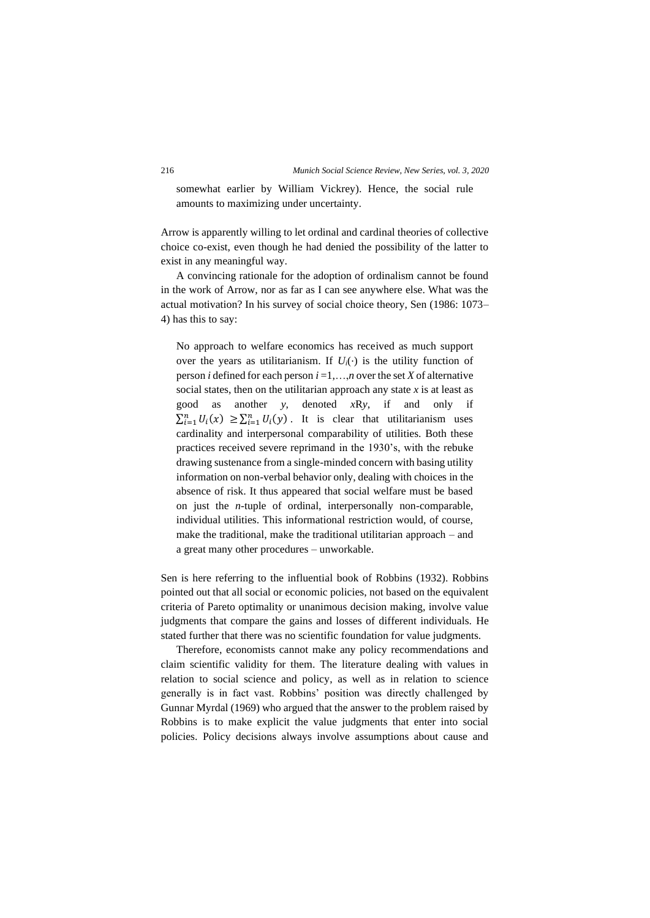somewhat earlier by William Vickrey). Hence, the social rule amounts to maximizing under uncertainty.

Arrow is apparently willing to let ordinal and cardinal theories of collective choice co-exist, even though he had denied the possibility of the latter to exist in any meaningful way.

A convincing rationale for the adoption of ordinalism cannot be found in the work of Arrow, nor as far as I can see anywhere else. What was the actual motivation? In his survey of social choice theory, Sen (1986: 1073– 4) has this to say:

No approach to welfare economics has received as much support over the years as utilitarianism. If  $U_i(\cdot)$  is the utility function of person *i* defined for each person  $i = 1, \ldots, n$  over the set *X* of alternative social states, then on the utilitarian approach any state *x* is at least as good as another *y*, denoted *x*R*y*, if and only if  $\sum_{i=1}^{n} U_i(x) \ge \sum_{i=1}^{n} U_i(y)$ . It is clear that utilitarianism uses cardinality and interpersonal comparability of utilities. Both these practices received severe reprimand in the 1930's, with the rebuke drawing sustenance from a single-minded concern with basing utility information on non-verbal behavior only, dealing with choices in the absence of risk. It thus appeared that social welfare must be based on just the *n*-tuple of ordinal, interpersonally non-comparable, individual utilities. This informational restriction would, of course, make the traditional, make the traditional utilitarian approach – and a great many other procedures – unworkable.

Sen is here referring to the influential book of Robbins (1932). Robbins pointed out that all social or economic policies, not based on the equivalent criteria of Pareto optimality or unanimous decision making, involve value judgments that compare the gains and losses of different individuals. He stated further that there was no scientific foundation for value judgments.

Therefore, economists cannot make any policy recommendations and claim scientific validity for them. The literature dealing with values in relation to social science and policy, as well as in relation to science generally is in fact vast. Robbins' position was directly challenged by Gunnar Myrdal (1969) who argued that the answer to the problem raised by Robbins is to make explicit the value judgments that enter into social policies. Policy decisions always involve assumptions about cause and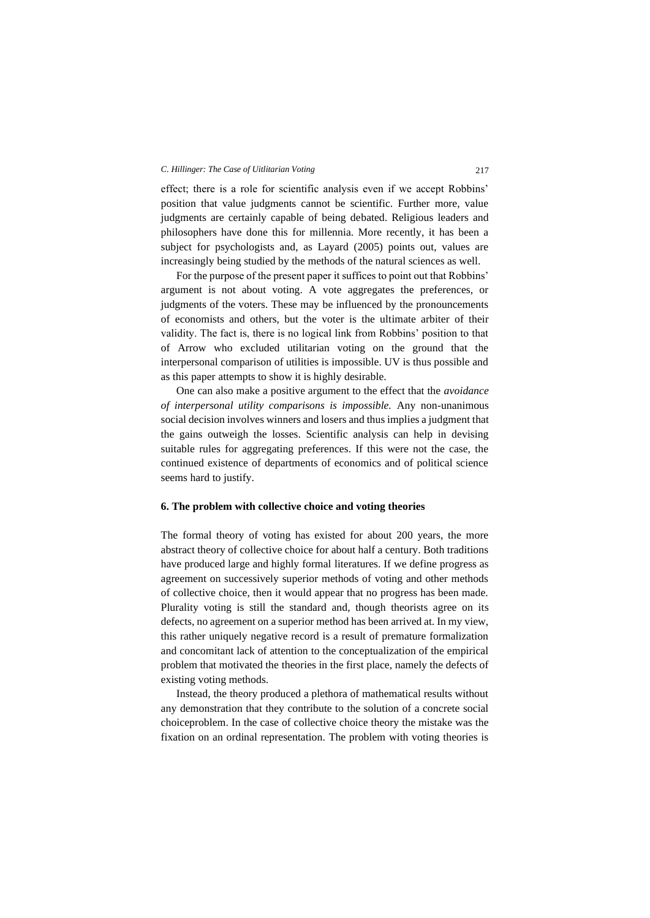effect; there is a role for scientific analysis even if we accept Robbins' position that value judgments cannot be scientific. Further more, value judgments are certainly capable of being debated. Religious leaders and philosophers have done this for millennia. More recently, it has been a subject for psychologists and, as Layard (2005) points out, values are increasingly being studied by the methods of the natural sciences as well.

For the purpose of the present paper it suffices to point out that Robbins' argument is not about voting. A vote aggregates the preferences, or judgments of the voters. These may be influenced by the pronouncements of economists and others, but the voter is the ultimate arbiter of their validity. The fact is, there is no logical link from Robbins' position to that of Arrow who excluded utilitarian voting on the ground that the interpersonal comparison of utilities is impossible. UV is thus possible and as this paper attempts to show it is highly desirable.

One can also make a positive argument to the effect that the *avoidance of interpersonal utility comparisons is impossible.* Any non-unanimous social decision involves winners and losers and thus implies a judgment that the gains outweigh the losses. Scientific analysis can help in devising suitable rules for aggregating preferences. If this were not the case, the continued existence of departments of economics and of political science seems hard to justify.

# **6. The problem with collective choice and voting theories**

The formal theory of voting has existed for about 200 years, the more abstract theory of collective choice for about half a century. Both traditions have produced large and highly formal literatures. If we define progress as agreement on successively superior methods of voting and other methods of collective choice, then it would appear that no progress has been made. Plurality voting is still the standard and, though theorists agree on its defects, no agreement on a superior method has been arrived at. In my view, this rather uniquely negative record is a result of premature formalization and concomitant lack of attention to the conceptualization of the empirical problem that motivated the theories in the first place, namely the defects of existing voting methods.

Instead, the theory produced a plethora of mathematical results without any demonstration that they contribute to the solution of a concrete social choiceproblem. In the case of collective choice theory the mistake was the fixation on an ordinal representation. The problem with voting theories is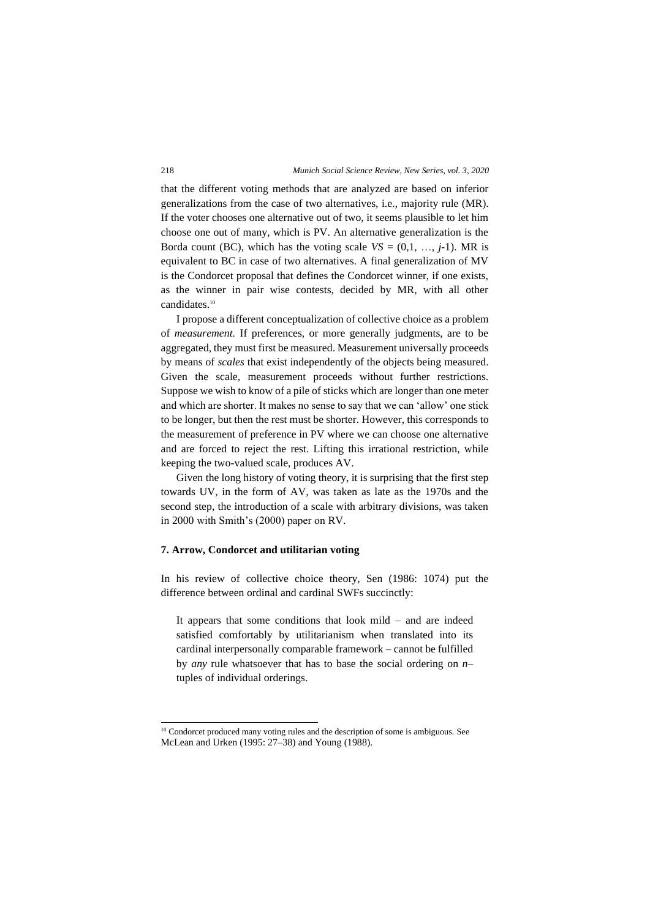that the different voting methods that are analyzed are based on inferior generalizations from the case of two alternatives, i.e., majority rule (MR). If the voter chooses one alternative out of two, it seems plausible to let him choose one out of many, which is PV. An alternative generalization is the Borda count (BC), which has the voting scale  $VS = (0,1, \ldots, j-1)$ . MR is equivalent to BC in case of two alternatives. A final generalization of MV is the Condorcet proposal that defines the Condorcet winner, if one exists, as the winner in pair wise contests, decided by MR, with all other candidates.<sup>10</sup>

I propose a different conceptualization of collective choice as a problem of *measurement.* If preferences, or more generally judgments, are to be aggregated, they must first be measured. Measurement universally proceeds by means of *scales* that exist independently of the objects being measured. Given the scale, measurement proceeds without further restrictions. Suppose we wish to know of a pile of sticks which are longer than one meter and which are shorter. It makes no sense to say that we can 'allow' one stick to be longer, but then the rest must be shorter. However, this corresponds to the measurement of preference in PV where we can choose one alternative and are forced to reject the rest. Lifting this irrational restriction, while keeping the two-valued scale, produces AV.

Given the long history of voting theory, it is surprising that the first step towards UV, in the form of AV, was taken as late as the 1970s and the second step, the introduction of a scale with arbitrary divisions, was taken in 2000 with Smith's (2000) paper on RV.

# **7. Arrow, Condorcet and utilitarian voting**

In his review of collective choice theory, Sen (1986: 1074) put the difference between ordinal and cardinal SWFs succinctly:

It appears that some conditions that look mild – and are indeed satisfied comfortably by utilitarianism when translated into its cardinal interpersonally comparable framework – cannot be fulfilled by *any* rule whatsoever that has to base the social ordering on *n*– tuples of individual orderings.

<sup>&</sup>lt;sup>10</sup> Condorcet produced many voting rules and the description of some is ambiguous. See McLean and Urken (1995: 27–38) and Young (1988).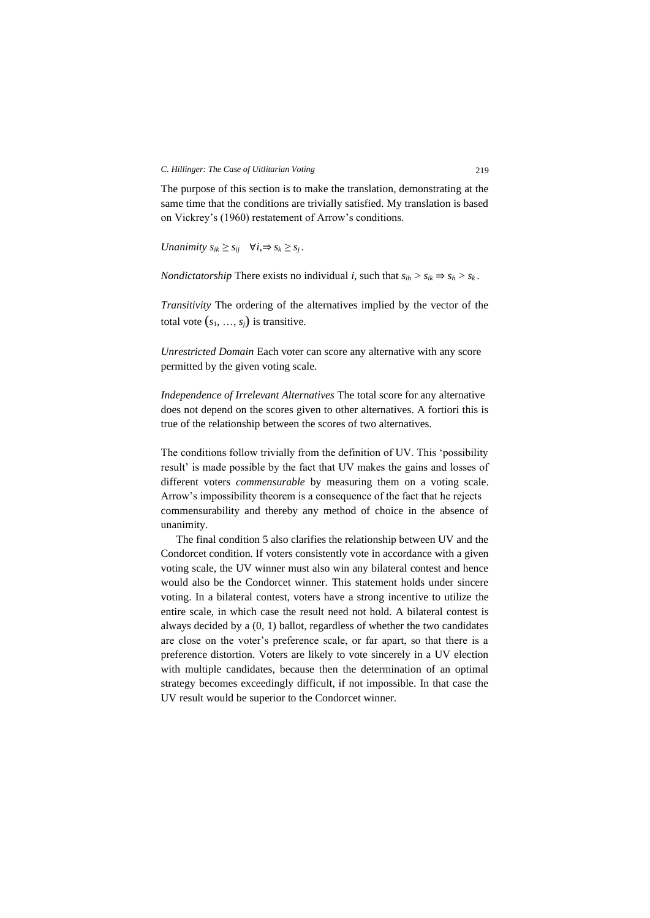The purpose of this section is to make the translation, demonstrating at the same time that the conditions are trivially satisfied. My translation is based on Vickrey's (1960) restatement of Arrow's conditions.

*Unanimity*  $s_{ik} \geq s_{ii}$   $\forall i, \Rightarrow s_k \geq s_i$ .

*Nondictatorship* There exists no individual *i*, such that  $s_{ih} > s_{ik} \Rightarrow s_h > s_k$ .

*Transitivity* The ordering of the alternatives implied by the vector of the total vote  $(s_1, ..., s_i)$  is transitive.

*Unrestricted Domain* Each voter can score any alternative with any score permitted by the given voting scale.

*Independence of Irrelevant Alternatives* The total score for any alternative does not depend on the scores given to other alternatives. A fortiori this is true of the relationship between the scores of two alternatives.

The conditions follow trivially from the definition of UV. This 'possibility result' is made possible by the fact that UV makes the gains and losses of different voters *commensurable* by measuring them on a voting scale. Arrow's impossibility theorem is a consequence of the fact that he rejects commensurability and thereby any method of choice in the absence of unanimity.

The final condition 5 also clarifies the relationship between UV and the Condorcet condition. If voters consistently vote in accordance with a given voting scale, the UV winner must also win any bilateral contest and hence would also be the Condorcet winner. This statement holds under sincere voting. In a bilateral contest, voters have a strong incentive to utilize the entire scale, in which case the result need not hold. A bilateral contest is always decided by a (0, 1) ballot, regardless of whether the two candidates are close on the voter's preference scale, or far apart, so that there is a preference distortion. Voters are likely to vote sincerely in a UV election with multiple candidates, because then the determination of an optimal strategy becomes exceedingly difficult, if not impossible. In that case the UV result would be superior to the Condorcet winner.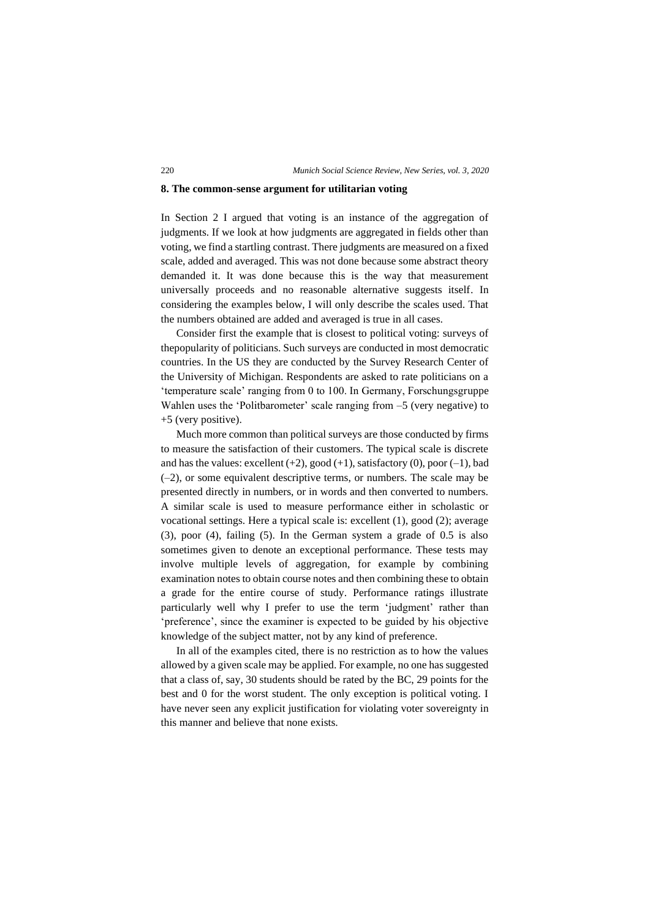## **8. The common-sense argument for utilitarian voting**

In Section 2 I argued that voting is an instance of the aggregation of judgments. If we look at how judgments are aggregated in fields other than voting, we find a startling contrast. There judgments are measured on a fixed scale, added and averaged. This was not done because some abstract theory demanded it. It was done because this is the way that measurement universally proceeds and no reasonable alternative suggests itself. In considering the examples below, I will only describe the scales used. That the numbers obtained are added and averaged is true in all cases.

Consider first the example that is closest to political voting: surveys of thepopularity of politicians. Such surveys are conducted in most democratic countries. In the US they are conducted by the Survey Research Center of the University of Michigan. Respondents are asked to rate politicians on a 'temperature scale' ranging from 0 to 100. In Germany, Forschungsgruppe Wahlen uses the 'Politbarometer' scale ranging from  $-5$  (very negative) to +5 (very positive).

Much more common than political surveys are those conducted by firms to measure the satisfaction of their customers. The typical scale is discrete and has the values: excellent  $(+2)$ , good  $(+1)$ , satisfactory  $(0)$ , poor  $(-1)$ , bad (–2), or some equivalent descriptive terms, or numbers. The scale may be presented directly in numbers, or in words and then converted to numbers. A similar scale is used to measure performance either in scholastic or vocational settings. Here a typical scale is: excellent (1), good (2); average (3), poor (4), failing (5). In the German system a grade of 0.5 is also sometimes given to denote an exceptional performance. These tests may involve multiple levels of aggregation, for example by combining examination notes to obtain course notes and then combining these to obtain a grade for the entire course of study. Performance ratings illustrate particularly well why I prefer to use the term 'judgment' rather than 'preference', since the examiner is expected to be guided by his objective knowledge of the subject matter, not by any kind of preference.

In all of the examples cited, there is no restriction as to how the values allowed by a given scale may be applied. For example, no one has suggested that a class of, say, 30 students should be rated by the BC, 29 points for the best and 0 for the worst student. The only exception is political voting. I have never seen any explicit justification for violating voter sovereignty in this manner and believe that none exists.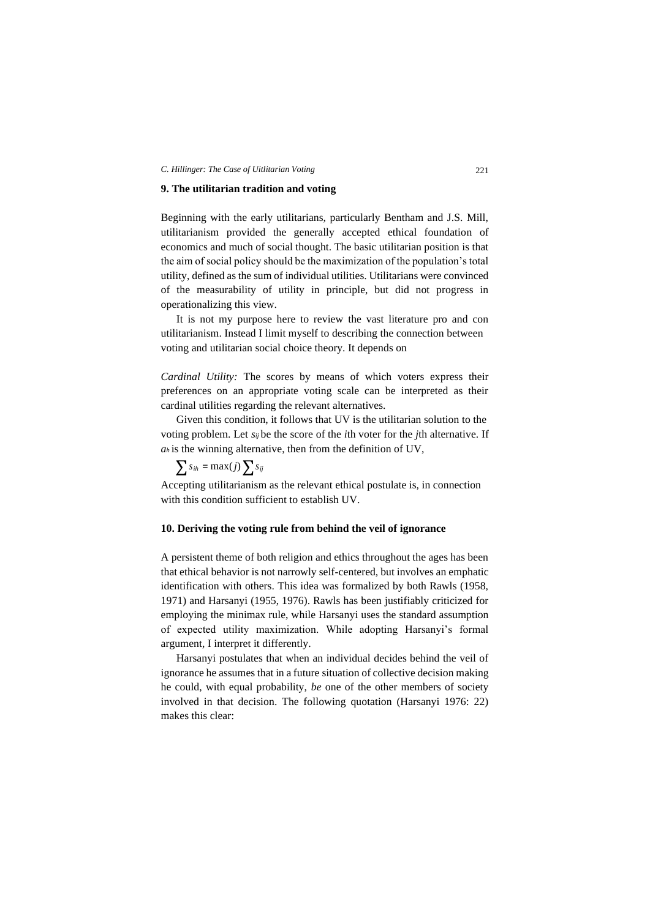## **9. The utilitarian tradition and voting**

Beginning with the early utilitarians, particularly Bentham and J.S. Mill, utilitarianism provided the generally accepted ethical foundation of economics and much of social thought. The basic utilitarian position is that the aim of social policy should be the maximization of the population's total utility, defined as the sum of individual utilities. Utilitarians were convinced of the measurability of utility in principle, but did not progress in operationalizing this view.

It is not my purpose here to review the vast literature pro and con utilitarianism. Instead I limit myself to describing the connection between voting and utilitarian social choice theory. It depends on

*Cardinal Utility:* The scores by means of which voters express their preferences on an appropriate voting scale can be interpreted as their cardinal utilities regarding the relevant alternatives.

Given this condition, it follows that UV is the utilitarian solution to the voting problem. Let *sij* be the score of the *i*th voter for the *j*th alternative. If  $a_h$  is the winning alternative, then from the definition of UV,

∑ $s_{ih} = \max(j)$ ∑ $s_{ij}$ 

Accepting utilitarianism as the relevant ethical postulate is, in connection with this condition sufficient to establish UV.

# **10. Deriving the voting rule from behind the veil of ignorance**

A persistent theme of both religion and ethics throughout the ages has been that ethical behavior is not narrowly self-centered, but involves an emphatic identification with others. This idea was formalized by both Rawls (1958, 1971) and Harsanyi (1955, 1976). Rawls has been justifiably criticized for employing the minimax rule, while Harsanyi uses the standard assumption of expected utility maximization. While adopting Harsanyi's formal argument, I interpret it differently.

Harsanyi postulates that when an individual decides behind the veil of ignorance he assumes that in a future situation of collective decision making he could, with equal probability, *be* one of the other members of society involved in that decision. The following quotation (Harsanyi 1976: 22) makes this clear: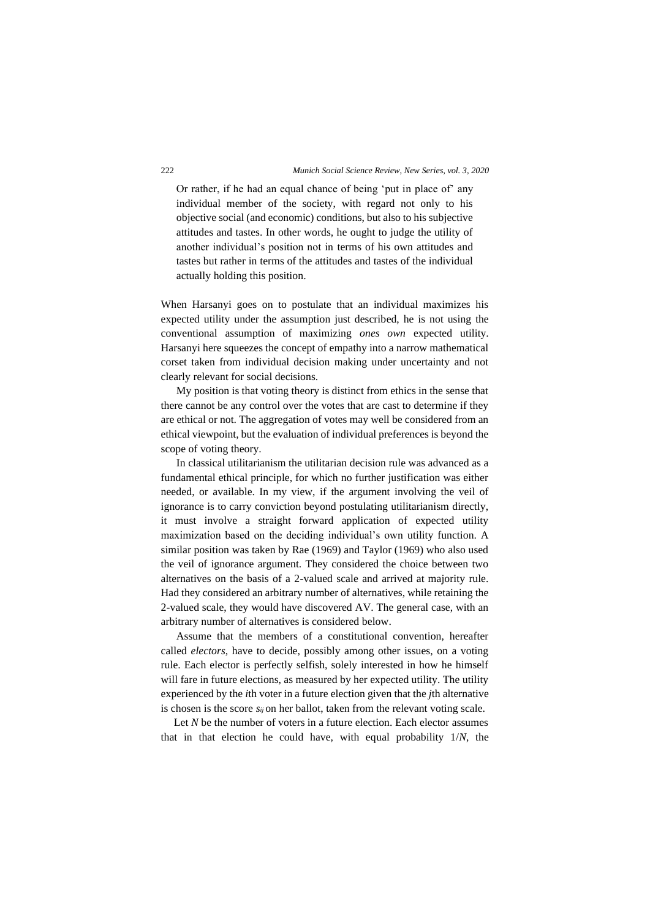Or rather, if he had an equal chance of being 'put in place of' any individual member of the society, with regard not only to his objective social (and economic) conditions, but also to his subjective attitudes and tastes. In other words, he ought to judge the utility of another individual's position not in terms of his own attitudes and tastes but rather in terms of the attitudes and tastes of the individual actually holding this position.

When Harsanyi goes on to postulate that an individual maximizes his expected utility under the assumption just described, he is not using the conventional assumption of maximizing *ones own* expected utility. Harsanyi here squeezes the concept of empathy into a narrow mathematical corset taken from individual decision making under uncertainty and not clearly relevant for social decisions.

My position is that voting theory is distinct from ethics in the sense that there cannot be any control over the votes that are cast to determine if they are ethical or not. The aggregation of votes may well be considered from an ethical viewpoint, but the evaluation of individual preferences is beyond the scope of voting theory.

In classical utilitarianism the utilitarian decision rule was advanced as a fundamental ethical principle, for which no further justification was either needed, or available. In my view, if the argument involving the veil of ignorance is to carry conviction beyond postulating utilitarianism directly, it must involve a straight forward application of expected utility maximization based on the deciding individual's own utility function. A similar position was taken by Rae (1969) and Taylor (1969) who also used the veil of ignorance argument. They considered the choice between two alternatives on the basis of a 2-valued scale and arrived at majority rule. Had they considered an arbitrary number of alternatives, while retaining the 2-valued scale, they would have discovered AV. The general case, with an arbitrary number of alternatives is considered below.

Assume that the members of a constitutional convention, hereafter called *electors*, have to decide, possibly among other issues, on a voting rule. Each elector is perfectly selfish, solely interested in how he himself will fare in future elections, as measured by her expected utility. The utility experienced by the *i*th voter in a future election given that the *j*th alternative is chosen is the score *sij* on her ballot, taken from the relevant voting scale.

Let  $N$  be the number of voters in a future election. Each elector assumes that in that election he could have, with equal probability 1/*N*, the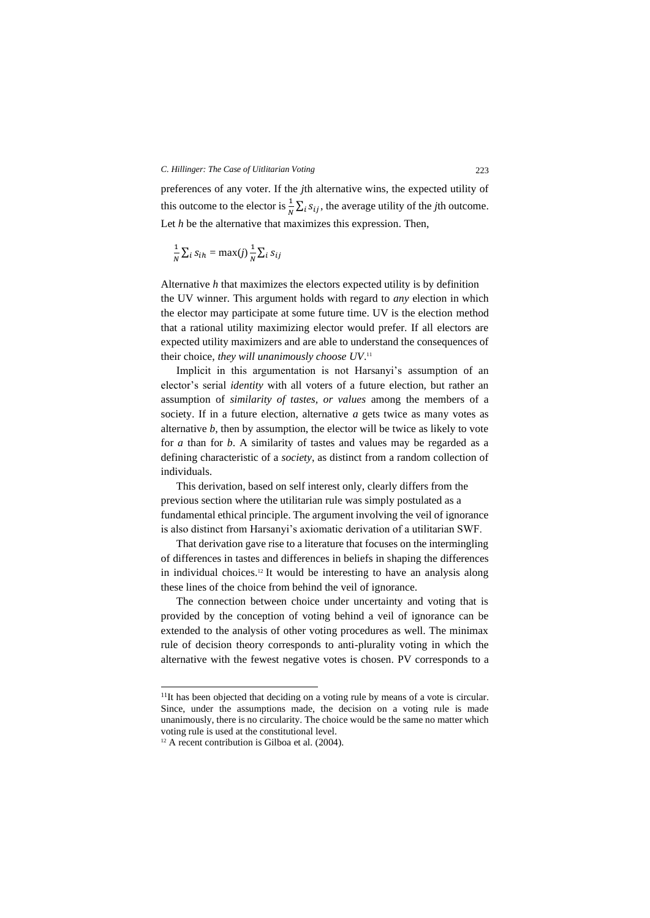preferences of any voter. If the *j*th alternative wins, the expected utility of this outcome to the elector is  $\frac{1}{N} \sum_i s_{ij}$ , the average utility of the *j*th outcome. Let *h* be the alternative that maximizes this expression. Then,

$$
\frac{1}{N}\sum_i s_{ih} = \max(j) \frac{1}{N}\sum_i s_{ij}
$$

Alternative *h* that maximizes the electors expected utility is by definition the UV winner. This argument holds with regard to *any* election in which the elector may participate at some future time. UV is the election method that a rational utility maximizing elector would prefer. If all electors are expected utility maximizers and are able to understand the consequences of their choice, *they will unanimously choose UV*. 11

Implicit in this argumentation is not Harsanyi's assumption of an elector's serial *identity* with all voters of a future election, but rather an assumption of *similarity of tastes, or values* among the members of a society. If in a future election, alternative *a* gets twice as many votes as alternative *b*, then by assumption, the elector will be twice as likely to vote for *a* than for *b*. A similarity of tastes and values may be regarded as a defining characteristic of a *society*, as distinct from a random collection of individuals.

This derivation, based on self interest only, clearly differs from the previous section where the utilitarian rule was simply postulated as a fundamental ethical principle. The argument involving the veil of ignorance is also distinct from Harsanyi's axiomatic derivation of a utilitarian SWF.

That derivation gave rise to a literature that focuses on the intermingling of differences in tastes and differences in beliefs in shaping the differences in individual choices.<sup>12</sup> It would be interesting to have an analysis along these lines of the choice from behind the veil of ignorance.

The connection between choice under uncertainty and voting that is provided by the conception of voting behind a veil of ignorance can be extended to the analysis of other voting procedures as well. The minimax rule of decision theory corresponds to anti-plurality voting in which the alternative with the fewest negative votes is chosen. PV corresponds to a

<sup>&</sup>lt;sup>11</sup>It has been objected that deciding on a voting rule by means of a vote is circular. Since, under the assumptions made, the decision on a voting rule is made unanimously, there is no circularity. The choice would be the same no matter which voting rule is used at the constitutional level.

<sup>&</sup>lt;sup>12</sup> A recent contribution is Gilboa et al. (2004).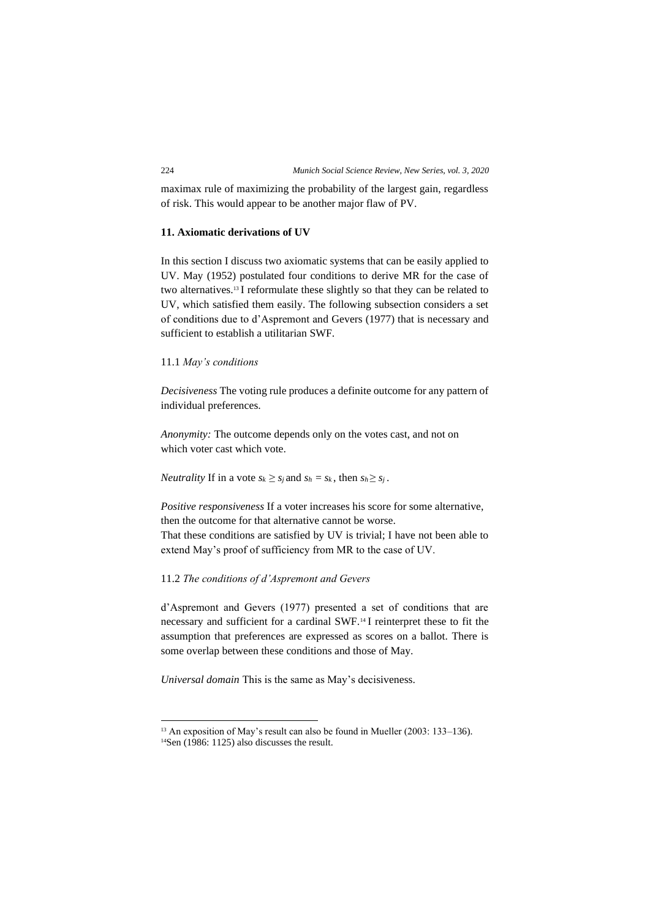maximax rule of maximizing the probability of the largest gain, regardless of risk. This would appear to be another major flaw of PV.

# **11. Axiomatic derivations of UV**

In this section I discuss two axiomatic systems that can be easily applied to UV. May (1952) postulated four conditions to derive MR for the case of two alternatives.<sup>13</sup> I reformulate these slightly so that they can be related to UV, which satisfied them easily. The following subsection considers a set of conditions due to d'Aspremont and Gevers (1977) that is necessary and sufficient to establish a utilitarian SWF.

# 11.1 *May's conditions*

*Decisiveness* The voting rule produces a definite outcome for any pattern of individual preferences.

*Anonymity:* The outcome depends only on the votes cast, and not on which voter cast which vote.

*Neutrality* If in a vote  $s_k \geq s_j$  and  $s_h = s_k$ , then  $s_h \geq s_j$ .

*Positive responsiveness* If a voter increases his score for some alternative, then the outcome for that alternative cannot be worse. That these conditions are satisfied by UV is trivial; I have not been able to extend May's proof of sufficiency from MR to the case of UV.

# 11.2 *The conditions of d'Aspremont and Gevers*

d'Aspremont and Gevers (1977) presented a set of conditions that are necessary and sufficient for a cardinal SWF.<sup>14</sup> I reinterpret these to fit the assumption that preferences are expressed as scores on a ballot. There is some overlap between these conditions and those of May.

*Universal domain* This is the same as May's decisiveness.

<sup>&</sup>lt;sup>13</sup> An exposition of May's result can also be found in Mueller (2003: 133–136). 14Sen (1986: 1125) also discusses the result.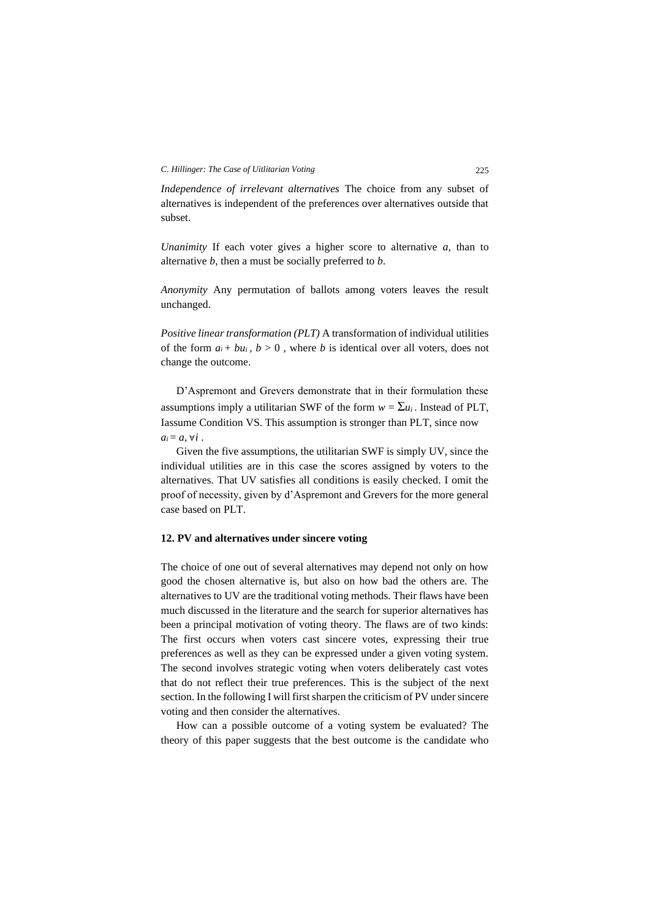*Independence of irrelevant alternatives* The choice from any subset of alternatives is independent of the preferences over alternatives outside that subset.

*Unanimity* If each voter gives a higher score to alternative *a*, than to alternative *b*, then a must be socially preferred to *b*.

*Anonymity* Any permutation of ballots among voters leaves the result unchanged.

*Positive linear transformation (PLT)* A transformation of individual utilities of the form  $a_i + bu_i$ ,  $b > 0$ , where *b* is identical over all voters, does not change the outcome.

D'Aspremont and Grevers demonstrate that in their formulation these assumptions imply a utilitarian SWF of the form  $w = \sum u_i$ . Instead of PLT, Iassume Condition VS. This assumption is stronger than PLT, since now  $a_i = a, \forall i$ .

Given the five assumptions, the utilitarian SWF is simply UV, since the individual utilities are in this case the scores assigned by voters to the alternatives. That UV satisfies all conditions is easily checked. I omit the proof of necessity, given by d'Aspremont and Grevers for the more general case based on PLT.

### **12. PV and alternatives under sincere voting**

The choice of one out of several alternatives may depend not only on how good the chosen alternative is, but also on how bad the others are. The alternatives to UV are the traditional voting methods. Their flaws have been much discussed in the literature and the search for superior alternatives has been a principal motivation of voting theory. The flaws are of two kinds: The first occurs when voters cast sincere votes, expressing their true preferences as well as they can be expressed under a given voting system. The second involves strategic voting when voters deliberately cast votes that do not reflect their true preferences. This is the subject of the next section. In the following I will first sharpen the criticism of PV under sincere voting and then consider the alternatives.

How can a possible outcome of a voting system be evaluated? The theory of this paper suggests that the best outcome is the candidate who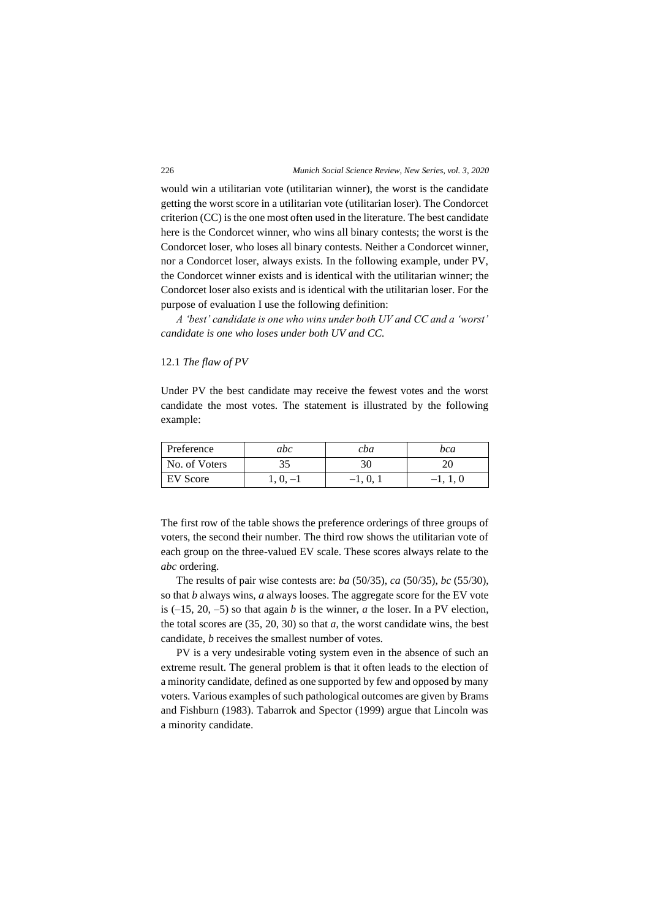would win a utilitarian vote (utilitarian winner), the worst is the candidate getting the worst score in a utilitarian vote (utilitarian loser). The Condorcet criterion (CC) is the one most often used in the literature. The best candidate here is the Condorcet winner, who wins all binary contests; the worst is the Condorcet loser, who loses all binary contests. Neither a Condorcet winner, nor a Condorcet loser, always exists. In the following example, under PV, the Condorcet winner exists and is identical with the utilitarian winner; the Condorcet loser also exists and is identical with the utilitarian loser. For the purpose of evaluation I use the following definition:

*A 'best' candidate is one who wins under both UV and CC and a 'worst' candidate is one who loses under both UV and CC.*

# 12.1 *The flaw of PV*

Under PV the best candidate may receive the fewest votes and the worst candidate the most votes. The statement is illustrated by the following example:

| Preference    | abc | cba   | bca   |
|---------------|-----|-------|-------|
| No. of Voters |     |       |       |
| EV Score      |     | $-1.$ | $-1.$ |

The first row of the table shows the preference orderings of three groups of voters, the second their number. The third row shows the utilitarian vote of each group on the three-valued EV scale. These scores always relate to the *abc* ordering.

The results of pair wise contests are: *ba* (50/35), *ca* (50/35), *bc* (55/30), so that *b* always wins, *a* always looses. The aggregate score for the EV vote is  $(-15, 20, -5)$  so that again *b* is the winner, *a* the loser. In a PV election, the total scores are  $(35, 20, 30)$  so that  $a$ , the worst candidate wins, the best candidate, *b* receives the smallest number of votes.

PV is a very undesirable voting system even in the absence of such an extreme result. The general problem is that it often leads to the election of a minority candidate, defined as one supported by few and opposed by many voters. Various examples of such pathological outcomes are given by Brams and Fishburn (1983). Tabarrok and Spector (1999) argue that Lincoln was a minority candidate.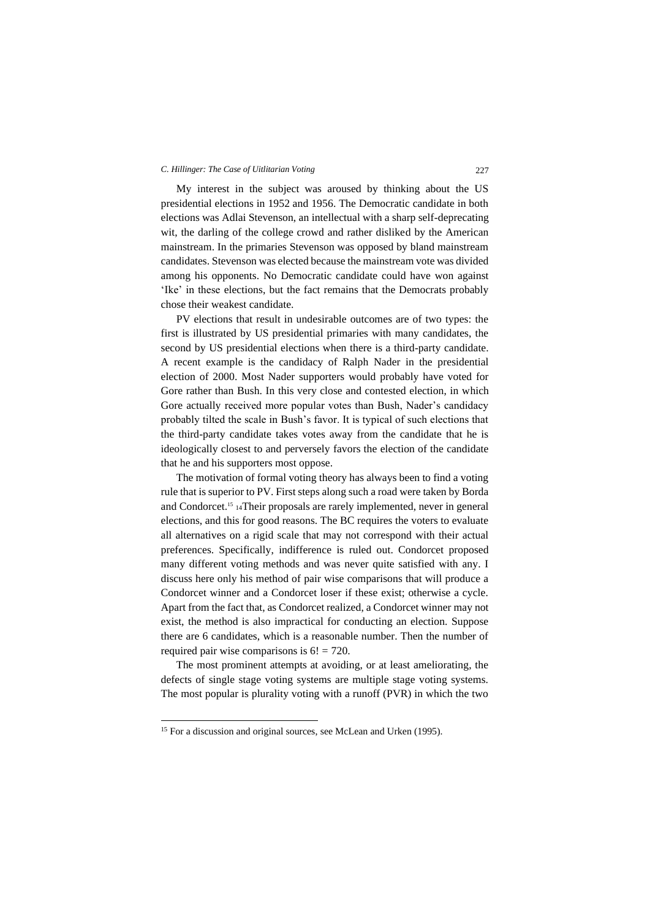My interest in the subject was aroused by thinking about the US presidential elections in 1952 and 1956. The Democratic candidate in both elections was Adlai Stevenson, an intellectual with a sharp self-deprecating wit, the darling of the college crowd and rather disliked by the American mainstream. In the primaries Stevenson was opposed by bland mainstream candidates. Stevenson was elected because the mainstream vote was divided among his opponents. No Democratic candidate could have won against 'Ike' in these elections, but the fact remains that the Democrats probably chose their weakest candidate.

PV elections that result in undesirable outcomes are of two types: the first is illustrated by US presidential primaries with many candidates, the second by US presidential elections when there is a third-party candidate. A recent example is the candidacy of Ralph Nader in the presidential election of 2000. Most Nader supporters would probably have voted for Gore rather than Bush. In this very close and contested election, in which Gore actually received more popular votes than Bush, Nader's candidacy probably tilted the scale in Bush's favor. It is typical of such elections that the third-party candidate takes votes away from the candidate that he is ideologically closest to and perversely favors the election of the candidate that he and his supporters most oppose.

The motivation of formal voting theory has always been to find a voting rule that is superior to PV. First steps along such a road were taken by Borda and Condorcet.<sup>15</sup> <sup>14</sup>Their proposals are rarely implemented, never in general elections, and this for good reasons. The BC requires the voters to evaluate all alternatives on a rigid scale that may not correspond with their actual preferences. Specifically, indifference is ruled out. Condorcet proposed many different voting methods and was never quite satisfied with any. I discuss here only his method of pair wise comparisons that will produce a Condorcet winner and a Condorcet loser if these exist; otherwise a cycle. Apart from the fact that, as Condorcet realized, a Condorcet winner may not exist, the method is also impractical for conducting an election. Suppose there are 6 candidates, which is a reasonable number. Then the number of required pair wise comparisons is  $6! = 720$ .

The most prominent attempts at avoiding, or at least ameliorating, the defects of single stage voting systems are multiple stage voting systems. The most popular is plurality voting with a runoff (PVR) in which the two

<sup>&</sup>lt;sup>15</sup> For a discussion and original sources, see McLean and Urken (1995).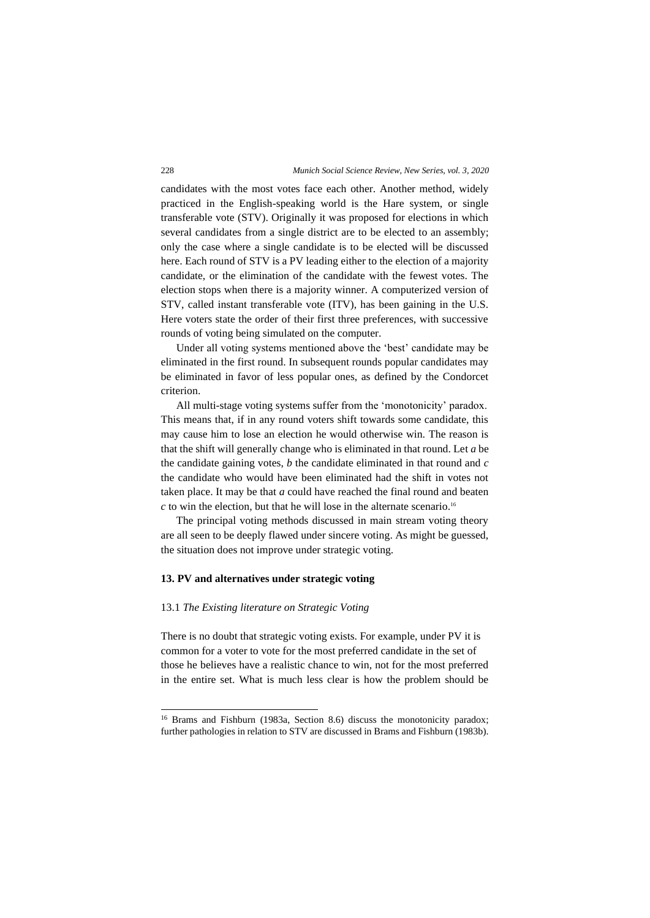candidates with the most votes face each other. Another method, widely practiced in the English-speaking world is the Hare system, or single transferable vote (STV). Originally it was proposed for elections in which several candidates from a single district are to be elected to an assembly; only the case where a single candidate is to be elected will be discussed here. Each round of STV is a PV leading either to the election of a majority candidate, or the elimination of the candidate with the fewest votes. The election stops when there is a majority winner. A computerized version of STV, called instant transferable vote (ITV), has been gaining in the U.S. Here voters state the order of their first three preferences, with successive rounds of voting being simulated on the computer.

Under all voting systems mentioned above the 'best' candidate may be eliminated in the first round. In subsequent rounds popular candidates may be eliminated in favor of less popular ones, as defined by the Condorcet criterion.

All multi-stage voting systems suffer from the 'monotonicity' paradox. This means that, if in any round voters shift towards some candidate, this may cause him to lose an election he would otherwise win. The reason is that the shift will generally change who is eliminated in that round. Let *a* be the candidate gaining votes, *b* the candidate eliminated in that round and *c*  the candidate who would have been eliminated had the shift in votes not taken place. It may be that *a* could have reached the final round and beaten *c* to win the election, but that he will lose in the alternate scenario.<sup>16</sup>

The principal voting methods discussed in main stream voting theory are all seen to be deeply flawed under sincere voting. As might be guessed, the situation does not improve under strategic voting.

# **13. PV and alternatives under strategic voting**

# 13.1 *The Existing literature on Strategic Voting*

There is no doubt that strategic voting exists. For example, under PV it is common for a voter to vote for the most preferred candidate in the set of those he believes have a realistic chance to win, not for the most preferred in the entire set. What is much less clear is how the problem should be

<sup>&</sup>lt;sup>16</sup> Brams and Fishburn (1983a, Section 8.6) discuss the monotonicity paradox; further pathologies in relation to STV are discussed in Brams and Fishburn (1983b).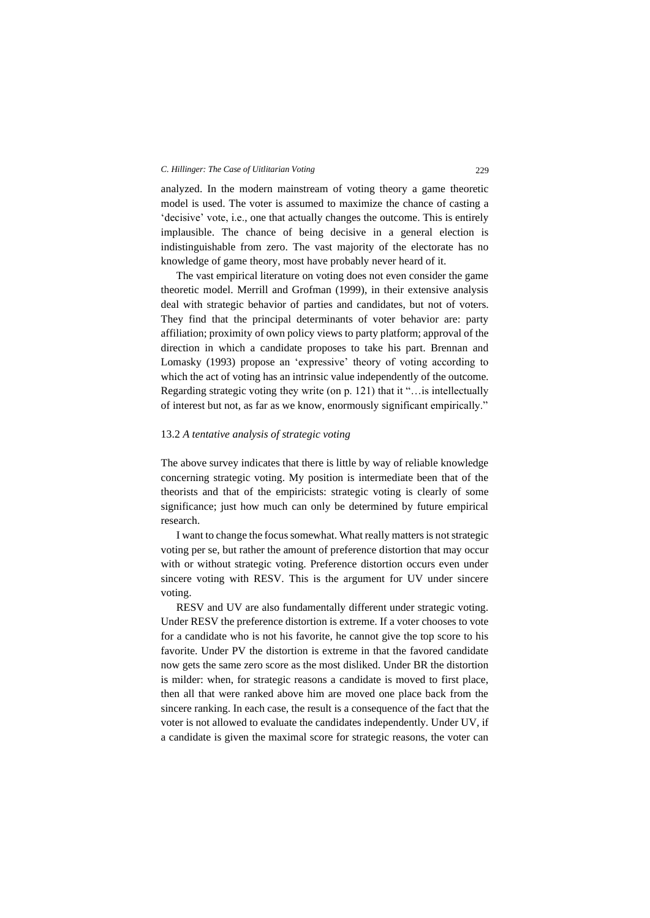analyzed. In the modern mainstream of voting theory a game theoretic model is used. The voter is assumed to maximize the chance of casting a 'decisive' vote, i.e., one that actually changes the outcome. This is entirely implausible. The chance of being decisive in a general election is indistinguishable from zero. The vast majority of the electorate has no knowledge of game theory, most have probably never heard of it.

The vast empirical literature on voting does not even consider the game theoretic model. Merrill and Grofman (1999), in their extensive analysis deal with strategic behavior of parties and candidates, but not of voters. They find that the principal determinants of voter behavior are: party affiliation; proximity of own policy views to party platform; approval of the direction in which a candidate proposes to take his part. Brennan and Lomasky (1993) propose an 'expressive' theory of voting according to which the act of voting has an intrinsic value independently of the outcome. Regarding strategic voting they write (on p. 121) that it "…is intellectually of interest but not, as far as we know, enormously significant empirically."

# 13.2 *A tentative analysis of strategic voting*

The above survey indicates that there is little by way of reliable knowledge concerning strategic voting. My position is intermediate been that of the theorists and that of the empiricists: strategic voting is clearly of some significance; just how much can only be determined by future empirical research.

I want to change the focus somewhat. What really matters is not strategic voting per se, but rather the amount of preference distortion that may occur with or without strategic voting. Preference distortion occurs even under sincere voting with RESV. This is the argument for UV under sincere voting.

RESV and UV are also fundamentally different under strategic voting. Under RESV the preference distortion is extreme. If a voter chooses to vote for a candidate who is not his favorite, he cannot give the top score to his favorite. Under PV the distortion is extreme in that the favored candidate now gets the same zero score as the most disliked. Under BR the distortion is milder: when, for strategic reasons a candidate is moved to first place, then all that were ranked above him are moved one place back from the sincere ranking. In each case, the result is a consequence of the fact that the voter is not allowed to evaluate the candidates independently. Under UV, if a candidate is given the maximal score for strategic reasons, the voter can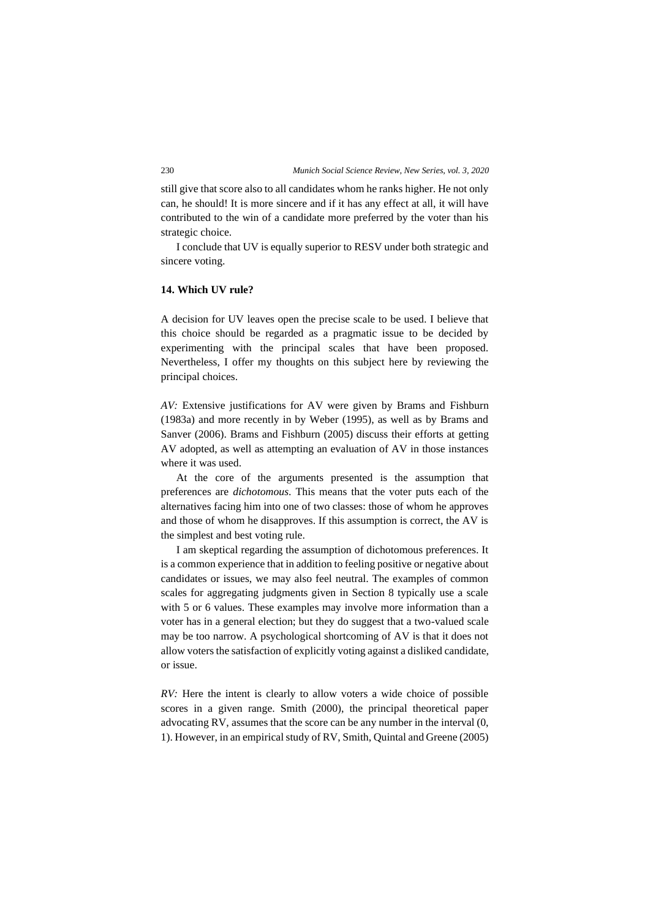still give that score also to all candidates whom he ranks higher. He not only can, he should! It is more sincere and if it has any effect at all, it will have contributed to the win of a candidate more preferred by the voter than his strategic choice.

I conclude that UV is equally superior to RESV under both strategic and sincere voting.

# **14. Which UV rule?**

A decision for UV leaves open the precise scale to be used. I believe that this choice should be regarded as a pragmatic issue to be decided by experimenting with the principal scales that have been proposed. Nevertheless, I offer my thoughts on this subject here by reviewing the principal choices.

*AV:* Extensive justifications for AV were given by Brams and Fishburn (1983a) and more recently in by Weber (1995), as well as by Brams and Sanver (2006). Brams and Fishburn (2005) discuss their efforts at getting AV adopted, as well as attempting an evaluation of AV in those instances where it was used.

At the core of the arguments presented is the assumption that preferences are *dichotomous*. This means that the voter puts each of the alternatives facing him into one of two classes: those of whom he approves and those of whom he disapproves. If this assumption is correct, the AV is the simplest and best voting rule.

I am skeptical regarding the assumption of dichotomous preferences. It is a common experience that in addition to feeling positive or negative about candidates or issues, we may also feel neutral. The examples of common scales for aggregating judgments given in Section 8 typically use a scale with 5 or 6 values. These examples may involve more information than a voter has in a general election; but they do suggest that a two-valued scale may be too narrow. A psychological shortcoming of AV is that it does not allow voters the satisfaction of explicitly voting against a disliked candidate, or issue.

*RV:* Here the intent is clearly to allow voters a wide choice of possible scores in a given range. Smith (2000), the principal theoretical paper advocating RV, assumes that the score can be any number in the interval (0, 1). However, in an empirical study of RV, Smith, Quintal and Greene (2005)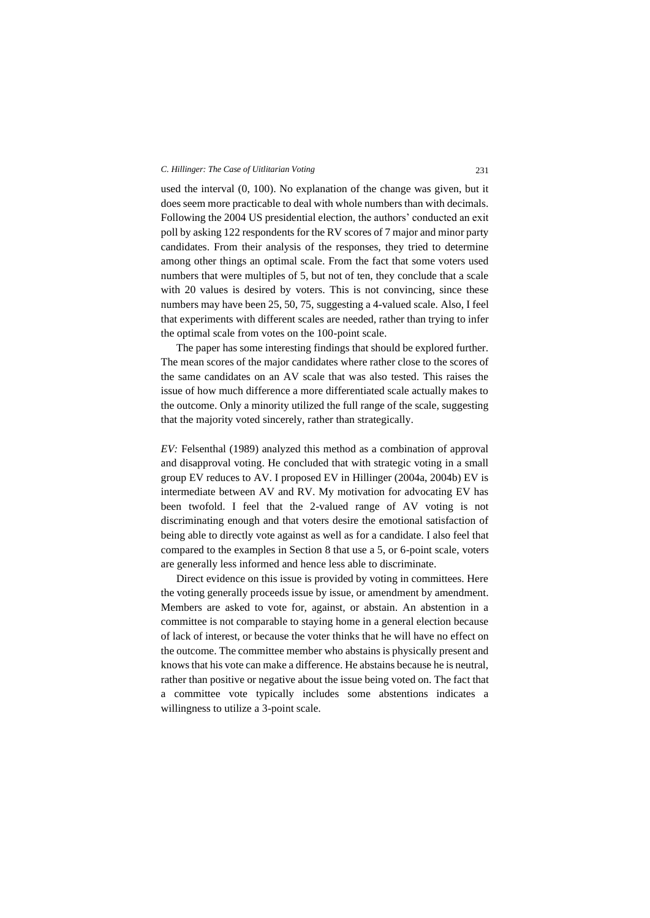used the interval (0, 100). No explanation of the change was given, but it does seem more practicable to deal with whole numbers than with decimals. Following the 2004 US presidential election, the authors' conducted an exit poll by asking 122 respondents for the RV scores of 7 major and minor party candidates. From their analysis of the responses, they tried to determine among other things an optimal scale. From the fact that some voters used numbers that were multiples of 5, but not of ten, they conclude that a scale with 20 values is desired by voters. This is not convincing, since these numbers may have been 25, 50, 75, suggesting a 4-valued scale. Also, I feel that experiments with different scales are needed, rather than trying to infer the optimal scale from votes on the 100-point scale.

The paper has some interesting findings that should be explored further. The mean scores of the major candidates where rather close to the scores of the same candidates on an AV scale that was also tested. This raises the issue of how much difference a more differentiated scale actually makes to the outcome. Only a minority utilized the full range of the scale, suggesting that the majority voted sincerely, rather than strategically.

*EV:* Felsenthal (1989) analyzed this method as a combination of approval and disapproval voting. He concluded that with strategic voting in a small group EV reduces to AV. I proposed EV in Hillinger (2004a, 2004b) EV is intermediate between AV and RV. My motivation for advocating EV has been twofold. I feel that the 2-valued range of AV voting is not discriminating enough and that voters desire the emotional satisfaction of being able to directly vote against as well as for a candidate. I also feel that compared to the examples in Section 8 that use a 5, or 6-point scale, voters are generally less informed and hence less able to discriminate.

Direct evidence on this issue is provided by voting in committees. Here the voting generally proceeds issue by issue, or amendment by amendment. Members are asked to vote for, against, or abstain. An abstention in a committee is not comparable to staying home in a general election because of lack of interest, or because the voter thinks that he will have no effect on the outcome. The committee member who abstains is physically present and knows that his vote can make a difference. He abstains because he is neutral, rather than positive or negative about the issue being voted on. The fact that a committee vote typically includes some abstentions indicates a willingness to utilize a 3-point scale.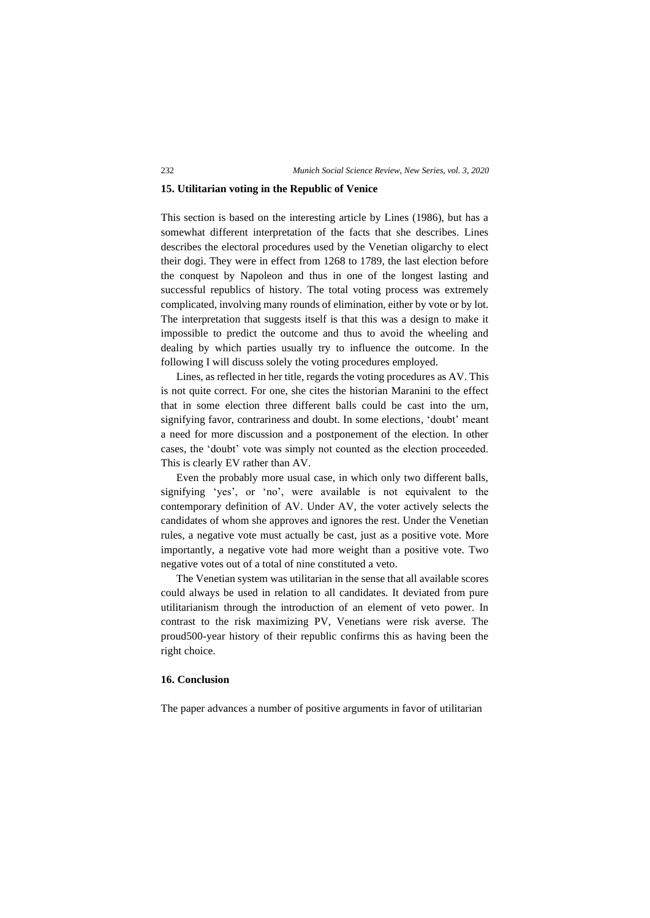# **15. Utilitarian voting in the Republic of Venice**

This section is based on the interesting article by Lines (1986), but has a somewhat different interpretation of the facts that she describes. Lines describes the electoral procedures used by the Venetian oligarchy to elect their dogi. They were in effect from 1268 to 1789, the last election before the conquest by Napoleon and thus in one of the longest lasting and successful republics of history. The total voting process was extremely complicated, involving many rounds of elimination, either by vote or by lot. The interpretation that suggests itself is that this was a design to make it impossible to predict the outcome and thus to avoid the wheeling and dealing by which parties usually try to influence the outcome. In the following I will discuss solely the voting procedures employed.

Lines, as reflected in her title, regards the voting procedures as AV. This is not quite correct. For one, she cites the historian Maranini to the effect that in some election three different balls could be cast into the urn, signifying favor, contrariness and doubt. In some elections, 'doubt' meant a need for more discussion and a postponement of the election. In other cases, the 'doubt' vote was simply not counted as the election proceeded. This is clearly EV rather than AV.

Even the probably more usual case, in which only two different balls, signifying 'yes', or 'no', were available is not equivalent to the contemporary definition of AV. Under AV, the voter actively selects the candidates of whom she approves and ignores the rest. Under the Venetian rules, a negative vote must actually be cast, just as a positive vote. More importantly, a negative vote had more weight than a positive vote. Two negative votes out of a total of nine constituted a veto.

The Venetian system was utilitarian in the sense that all available scores could always be used in relation to all candidates. It deviated from pure utilitarianism through the introduction of an element of veto power. In contrast to the risk maximizing PV, Venetians were risk averse. The proud500-year history of their republic confirms this as having been the right choice.

# **16. Conclusion**

The paper advances a number of positive arguments in favor of utilitarian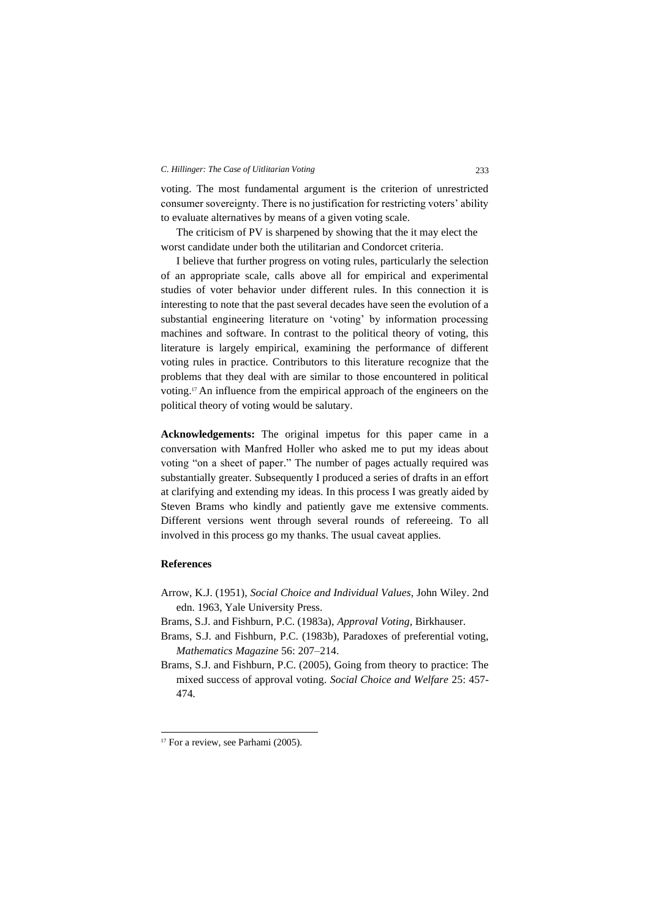voting. The most fundamental argument is the criterion of unrestricted consumer sovereignty. There is no justification for restricting voters' ability to evaluate alternatives by means of a given voting scale.

The criticism of PV is sharpened by showing that the it may elect the worst candidate under both the utilitarian and Condorcet criteria.

I believe that further progress on voting rules, particularly the selection of an appropriate scale, calls above all for empirical and experimental studies of voter behavior under different rules. In this connection it is interesting to note that the past several decades have seen the evolution of a substantial engineering literature on 'voting' by information processing machines and software. In contrast to the political theory of voting, this literature is largely empirical, examining the performance of different voting rules in practice. Contributors to this literature recognize that the problems that they deal with are similar to those encountered in political voting.<sup>17</sup> An influence from the empirical approach of the engineers on the political theory of voting would be salutary.

**Acknowledgements:** The original impetus for this paper came in a conversation with Manfred Holler who asked me to put my ideas about voting "on a sheet of paper." The number of pages actually required was substantially greater. Subsequently I produced a series of drafts in an effort at clarifying and extending my ideas. In this process I was greatly aided by Steven Brams who kindly and patiently gave me extensive comments. Different versions went through several rounds of refereeing. To all involved in this process go my thanks. The usual caveat applies.

# **References**

Arrow, K.J. (1951), *Social Choice and Individual Values*, John Wiley. 2nd edn. 1963, Yale University Press.

Brams, S.J. and Fishburn, P.C. (1983a), *Approval Voting*, Birkhauser.

- Brams, S.J. and Fishburn, P.C. (1983b), Paradoxes of preferential voting, *Mathematics Magazine* 56: 207–214.
- Brams, S.J. and Fishburn, P.C. (2005), Going from theory to practice: The mixed success of approval voting. *Social Choice and Welfare* 25: 457- 474*.*

<sup>&</sup>lt;sup>17</sup> For a review, see Parhami (2005).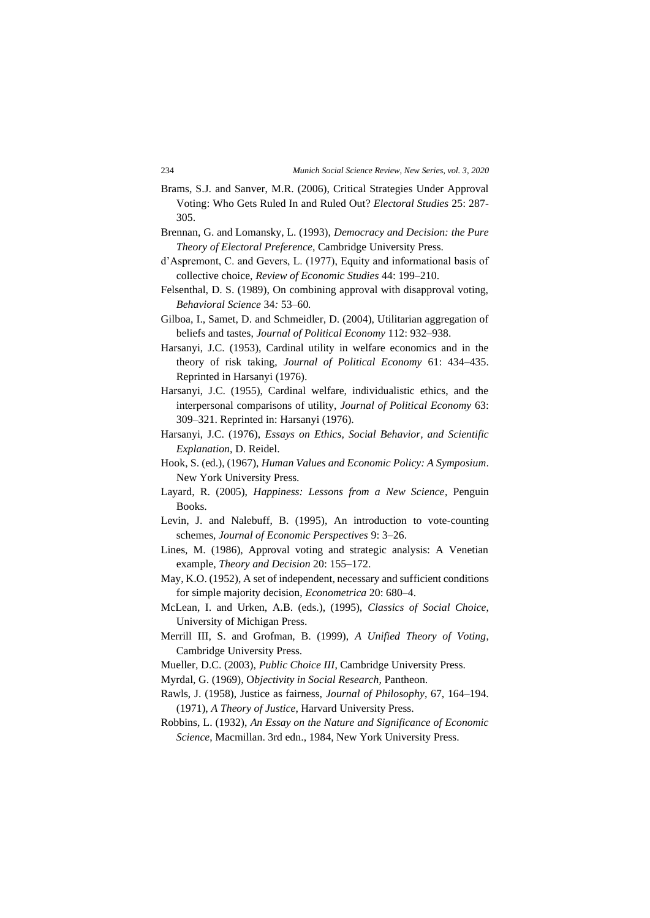- Brams, S.J. and Sanver, M.R. (2006), Critical Strategies Under Approval Voting: Who Gets Ruled In and Ruled Out? *Electoral Studies* 25: 287- 305.
- Brennan, G. and Lomansky, L. (1993), *Democracy and Decision: the Pure Theory of Electoral Preference*, Cambridge University Press.
- d'Aspremont, C. and Gevers, L. (1977), Equity and informational basis of collective choice, *Review of Economic Studies* 44: 199–210.
- Felsenthal, D. S. (1989), On combining approval with disapproval voting, *Behavioral Science* 34*:* 53–60*.*
- Gilboa, I., Samet, D. and Schmeidler, D. (2004), Utilitarian aggregation of beliefs and tastes, *Journal of Political Economy* 112: 932–938.
- Harsanyi, J.C. (1953), Cardinal utility in welfare economics and in the theory of risk taking, *Journal of Political Economy* 61: 434–435. Reprinted in Harsanyi (1976).
- Harsanyi, J.C. (1955), Cardinal welfare, individualistic ethics, and the interpersonal comparisons of utility, *Journal of Political Economy* 63: 309–321. Reprinted in: Harsanyi (1976).
- Harsanyi, J.C. (1976), *Essays on Ethics, Social Behavior, and Scientific Explanation*, D. Reidel.
- Hook, S. (ed.), (1967), *Human Values and Economic Policy: A Symposium*. New York University Press.
- Layard, R. (2005), *Happiness: Lessons from a New Science*, Penguin Books.
- Levin, J. and Nalebuff, B. (1995), An introduction to vote-counting schemes, *Journal of Economic Perspectives* 9: 3–26.
- Lines, M. (1986), Approval voting and strategic analysis: A Venetian example, *Theory and Decision* 20: 155–172.
- May, K.O. (1952), A set of independent, necessary and sufficient conditions for simple majority decision, *Econometrica* 20: 680–4.
- McLean, I. and Urken, A.B. (eds.), (1995), *Classics of Social Choice*, University of Michigan Press.
- Merrill III, S. and Grofman, B. (1999), *A Unified Theory of Voting*, Cambridge University Press.
- Mueller, D.C. (2003), *Public Choice III*, Cambridge University Press.
- Myrdal, G. (1969), O*bjectivity in Social Research,* Pantheon.
- Rawls, J. (1958), Justice as fairness, *Journal of Philosophy*, 67, 164–194. (1971), *A Theory of Justice*, Harvard University Press.
- Robbins, L. (1932), *An Essay on the Nature and Significance of Economic Science*, Macmillan. 3rd edn., 1984, New York University Press.